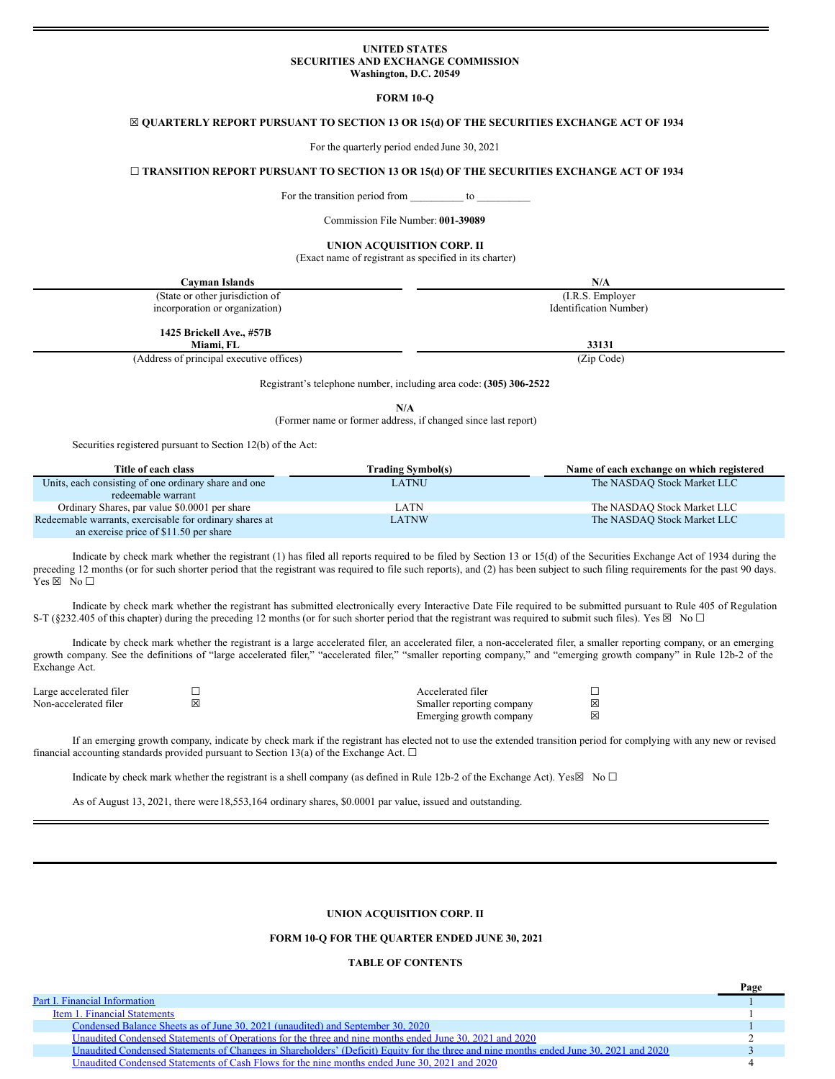#### **UNITED STATES SECURITIES AND EXCHANGE COMMISSION Washington, D.C. 20549**

**FORM 10-Q**

#### <span id="page-0-0"></span>☒ **QUARTERLY REPORT PURSUANT TO SECTION 13 OR 15(d) OF THE SECURITIES EXCHANGE ACT OF 1934**

For the quarterly period ended June 30, 2021

#### ☐ **TRANSITION REPORT PURSUANT TO SECTION 13 OR 15(d) OF THE SECURITIES EXCHANGE ACT OF 1934**

For the transition period from \_\_\_\_\_\_\_\_\_\_\_ to

Commission File Number: **001-39089**

# **UNION ACQUISITION CORP. II**

(Exact name of registrant as specified in its charter)

| Cayman Islands                           | N/A                    |
|------------------------------------------|------------------------|
| (State or other jurisdiction of          | (I.R.S. Employer)      |
| incorporation or organization)           | Identification Number) |
| 1425 Brickell Ave., #57B                 |                        |
| Miami, FL                                | 33131                  |
| (Address of principal executive offices) | (Zip Code)             |

Registrant's telephone number, including area code: **(305) 306-2522**

**N/A**

(Former name or former address, if changed since last report)

Securities registered pursuant to Section 12(b) of the Act:

| Title of each class                                     | <b>Trading Symbol(s)</b> | Name of each exchange on which registered |
|---------------------------------------------------------|--------------------------|-------------------------------------------|
| Units, each consisting of one ordinary share and one    | LATNU                    | The NASDAO Stock Market LLC               |
| redeemable warrant                                      |                          |                                           |
| Ordinary Shares, par value \$0,0001 per share           | LATN                     | The NASDAO Stock Market LLC               |
| Redeemable warrants, exercisable for ordinary shares at | LATNW                    | The NASDAO Stock Market LLC               |
| an exercise price of \$11.50 per share                  |                          |                                           |

Indicate by check mark whether the registrant (1) has filed all reports required to be filed by Section 13 or 15(d) of the Securities Exchange Act of 1934 during the preceding 12 months (or for such shorter period that the registrant was required to file such reports), and (2) has been subject to such filing requirements for the past 90 days.  $Yes \boxtimes No \square$ 

Indicate by check mark whether the registrant has submitted electronically every Interactive Date File required to be submitted pursuant to Rule 405 of Regulation S-T (§232.405 of this chapter) during the preceding 12 months (or for such shorter period that the registrant was required to submit such files). Yes  $\boxtimes$  No  $\Box$ 

Indicate by check mark whether the registrant is a large accelerated filer, an accelerated filer, a non-accelerated filer, a smaller reporting company, or an emerging growth company. See the definitions of "large accelerated filer," "accelerated filer," "smaller reporting company," and "emerging growth company" in Rule 12b-2 of the Exchange Act.

| Large accelerated filer | Accelerated filer         |   |
|-------------------------|---------------------------|---|
| Non-accelerated filer   | Smaller reporting company | 冈 |
|                         | Emerging growth company   | 冈 |

If an emerging growth company, indicate by check mark if the registrant has elected not to use the extended transition period for complying with any new or revised financial accounting standards provided pursuant to Section 13(a) of the Exchange Act.  $\Box$ 

Indicate by check mark whether the registrant is a shell company (as defined in Rule 12b-2 of the Exchange Act). Yes $\boxtimes$  No  $\Box$ 

As of August 13, 2021, there were18,553,164 ordinary shares, \$0.0001 par value, issued and outstanding.

#### **UNION ACQUISITION CORP. II**

#### **FORM 10-Q FOR THE QUARTER ENDED JUNE 30, 2021**

#### **TABLE OF CONTENTS**

|                                                                                                                                        | Page |
|----------------------------------------------------------------------------------------------------------------------------------------|------|
| <b>Part I. Financial Information</b>                                                                                                   |      |
| Item 1. Financial Statements                                                                                                           |      |
| Condensed Balance Sheets as of June 30, 2021 (unaudited) and September 30, 2020                                                        |      |
| Unaudited Condensed Statements of Operations for the three and nine months ended June 30, 2021 and 2020                                |      |
| Unaudited Condensed Statements of Changes in Shareholders' (Deficit) Equity for the three and nine months ended June 30, 2021 and 2020 |      |
| Unaudited Condensed Statements of Cash Flows for the nine months ended June 30, 2021 and 2020                                          |      |
|                                                                                                                                        |      |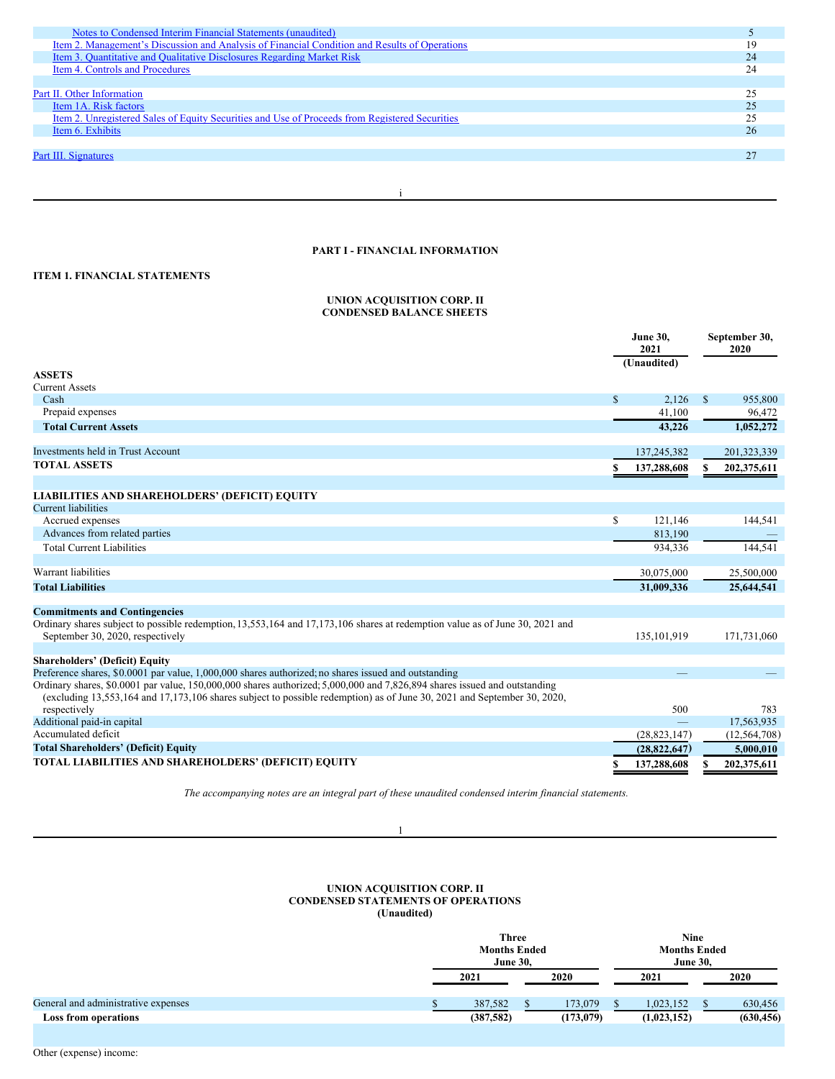| Notes to Condensed Interim Financial Statements (unaudited)                                    |    |
|------------------------------------------------------------------------------------------------|----|
| Item 2. Management's Discussion and Analysis of Financial Condition and Results of Operations  |    |
| Item 3. Quantitative and Qualitative Disclosures Regarding Market Risk                         | 24 |
| Item 4. Controls and Procedures                                                                |    |
|                                                                                                |    |
| Part II. Other Information                                                                     | 25 |
| Item 1A. Risk factors                                                                          |    |
| Item 2. Unregistered Sales of Equity Securities and Use of Proceeds from Registered Securities |    |
| Item 6. Exhibits                                                                               | 26 |
|                                                                                                |    |
| Part III. Signatures                                                                           |    |
|                                                                                                |    |

i

## **PART I - FINANCIAL INFORMATION**

## **ITEM 1. FINANCIAL STATEMENTS**

#### **UNION ACQUISITION CORP. II CONDENSED BALANCE SHEETS**

|                                                                                                                                                                                                                                                      |              | <b>June 30.</b><br>2021<br>(Unaudited) |              | September 30,<br>2020 |
|------------------------------------------------------------------------------------------------------------------------------------------------------------------------------------------------------------------------------------------------------|--------------|----------------------------------------|--------------|-----------------------|
| <b>ASSETS</b>                                                                                                                                                                                                                                        |              |                                        |              |                       |
| <b>Current Assets</b><br>Cash                                                                                                                                                                                                                        |              | 2.126                                  |              | 955,800               |
|                                                                                                                                                                                                                                                      | $\mathbb{S}$ |                                        | $\mathbb{S}$ |                       |
| Prepaid expenses                                                                                                                                                                                                                                     |              | 41,100                                 |              | 96,472                |
| <b>Total Current Assets</b>                                                                                                                                                                                                                          |              | 43.226                                 |              | 1,052,272             |
| <b>Investments held in Trust Account</b>                                                                                                                                                                                                             |              | 137,245,382                            |              | 201,323,339           |
| <b>TOTAL ASSETS</b>                                                                                                                                                                                                                                  | S            | 137,288,608                            | S            | 202,375,611           |
|                                                                                                                                                                                                                                                      |              |                                        |              |                       |
| <b>LIABILITIES AND SHAREHOLDERS' (DEFICIT) EQUITY</b>                                                                                                                                                                                                |              |                                        |              |                       |
| Current liabilities                                                                                                                                                                                                                                  |              |                                        |              |                       |
| Accrued expenses                                                                                                                                                                                                                                     | \$           | 121,146                                |              | 144,541               |
| Advances from related parties                                                                                                                                                                                                                        |              | 813,190                                |              |                       |
| <b>Total Current Liabilities</b>                                                                                                                                                                                                                     |              | 934.336                                |              | 144.541               |
| Warrant liabilities                                                                                                                                                                                                                                  |              | 30,075,000                             |              | 25,500,000            |
| <b>Total Liabilities</b>                                                                                                                                                                                                                             |              |                                        |              | 25,644,541            |
|                                                                                                                                                                                                                                                      |              | 31,009,336                             |              |                       |
| <b>Commitments and Contingencies</b>                                                                                                                                                                                                                 |              |                                        |              |                       |
| Ordinary shares subject to possible redemption, 13,553,164 and 17,173,106 shares at redemption value as of June 30, 2021 and<br>September 30, 2020, respectively                                                                                     |              | 135, 101, 919                          |              | 171,731,060           |
|                                                                                                                                                                                                                                                      |              |                                        |              |                       |
| <b>Shareholders' (Deficit) Equity</b>                                                                                                                                                                                                                |              |                                        |              |                       |
| Preference shares, \$0.0001 par value, 1,000,000 shares authorized; no shares issued and outstanding                                                                                                                                                 |              |                                        |              |                       |
| Ordinary shares, \$0.0001 par value, 150,000,000 shares authorized; 5,000,000 and 7,826,894 shares issued and outstanding<br>(excluding 13,553,164 and 17,173,106 shares subject to possible redemption) as of June 30, 2021 and September 30, 2020, |              |                                        |              |                       |
| respectively                                                                                                                                                                                                                                         |              | 500                                    |              | 783                   |
| Additional paid-in capital                                                                                                                                                                                                                           |              |                                        |              | 17,563,935            |
| Accumulated deficit                                                                                                                                                                                                                                  |              | (28, 823, 147)                         |              | (12, 564, 708)        |
| <b>Total Shareholders' (Deficit) Equity</b>                                                                                                                                                                                                          |              | (28, 822, 647)                         |              | 5,000,010             |
| TOTAL LIABILITIES AND SHAREHOLDERS' (DEFICIT) EQUITY                                                                                                                                                                                                 |              | 137,288,608                            | S            | 202,375,611           |

*The accompanying notes are an integral part of these unaudited condensed interim financial statements.*

1

#### **UNION ACQUISITION CORP. II CONDENSED STATEMENTS OF OPERATIONS (Unaudited)**

|                                                                    | <b>Three</b><br><b>Months Ended</b><br><b>June 30,</b> |                      |  | <b>Months Ended</b>      |  |                       |
|--------------------------------------------------------------------|--------------------------------------------------------|----------------------|--|--------------------------|--|-----------------------|
|                                                                    | 2021                                                   | 2020                 |  | 2021                     |  | 2020                  |
| General and administrative expenses<br><b>Loss from operations</b> | 387,582<br>(387,582)                                   | 173,079<br>(173,079) |  | 1,023,152<br>(1,023,152) |  | 630,456<br>(630, 456) |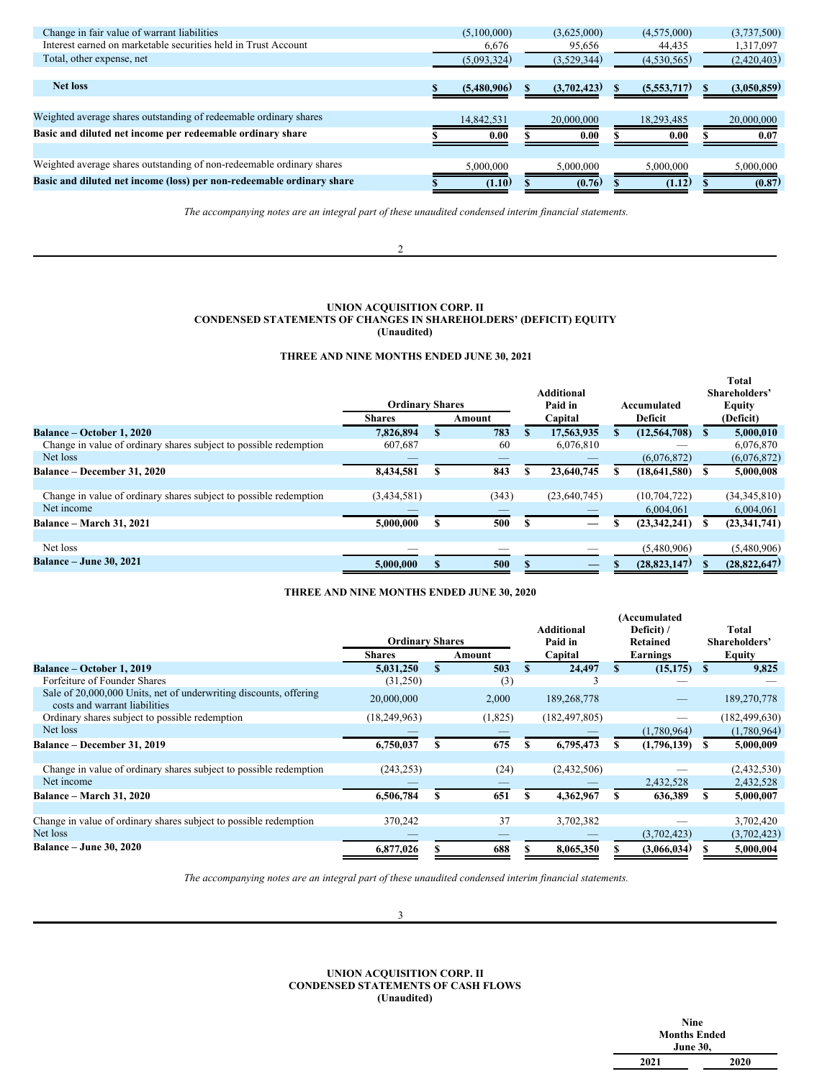| Change in fair value of warrant liabilities                           | (5,100,000) | (3,625,000) | (4,575,000) | (3,737,500) |
|-----------------------------------------------------------------------|-------------|-------------|-------------|-------------|
| Interest earned on marketable securities held in Trust Account        | 6,676       | 95,656      | 44,435      | 1,317,097   |
| Total, other expense, net                                             | (5,093,324) | (3,529,344) | (4,530,565) | (2,420,403) |
|                                                                       |             |             |             |             |
| <b>Net loss</b>                                                       | (5,480,906) | (3,702,423) | (5,553,717) | (3,050,859) |
|                                                                       |             |             |             |             |
| Weighted average shares outstanding of redeemable ordinary shares     | 14,842,531  | 20,000,000  | 18,293,485  | 20,000,000  |
| Basic and diluted net income per redeemable ordinary share            | 0.00        | 0.00        | 0.00        | 0.07        |
|                                                                       |             |             |             |             |
| Weighted average shares outstanding of non-redeemable ordinary shares | 5,000,000   | 5,000,000   | 5,000,000   | 5,000,000   |
| Basic and diluted net income (loss) per non-redeemable ordinary share | (1.10)      | (0.76)      | (1.12)      | (0.87)      |
|                                                                       |             |             |             |             |

*The accompanying notes are an integral part of these unaudited condensed interim financial statements.*

2

## **UNION ACQUISITION CORP. II CONDENSED STATEMENTS OF CHANGES IN SHAREHOLDERS' (DEFICIT) EQUITY (Unaudited)**

## **THREE AND NINE MONTHS ENDED JUNE 30, 2021**

|                                                                   |                        |        | <b>Additional</b> |                | <b>Total</b><br>Shareholders' |
|-------------------------------------------------------------------|------------------------|--------|-------------------|----------------|-------------------------------|
|                                                                   | <b>Ordinary Shares</b> |        | Paid in           | Accumulated    | <b>Equity</b>                 |
|                                                                   | <b>Shares</b>          | Amount | Capital           | Deficit        | (Deficit)                     |
| Balance – October 1, 2020                                         | 7.826.894              | 783    | 17,563,935        | (12, 564, 708) | 5,000,010                     |
| Change in value of ordinary shares subject to possible redemption | 607,687                | 60     | 6,076,810         |                | 6,076,870                     |
| Net loss                                                          |                        |        |                   | (6,076,872)    | (6,076,872)                   |
| Balance - December 31, 2020                                       | 8,434,581              | 843    | 23,640,745        | (18, 641, 580) | 5,000,008                     |
|                                                                   |                        |        |                   |                |                               |
| Change in value of ordinary shares subject to possible redemption | (3,434,581)            | (343)  | (23,640,745)      | (10, 704, 722) | (34,345,810)                  |
| Net income                                                        |                        |        |                   | 6,004,061      | 6,004,061                     |
| <b>Balance – March 31, 2021</b>                                   | 5,000,000              | 500    |                   | (23, 342, 241) | (23, 341, 741)                |
|                                                                   |                        |        |                   |                |                               |
| Net loss                                                          |                        |        |                   | (5,480,906)    | (5,480,906)                   |
| <b>Balance – June 30, 2021</b>                                    | 5.000.000              | 500    |                   | (28, 823, 147) | (28, 822, 647)                |

## **THREE AND NINE MONTHS ENDED JUNE 30, 2020**

|                                                                                                    | <b>Ordinary Shares</b> |   |         |   | Additional<br>Paid in |   | (Accumulated<br>Deficit) /<br>Retained |   | Total<br>Shareholders' |
|----------------------------------------------------------------------------------------------------|------------------------|---|---------|---|-----------------------|---|----------------------------------------|---|------------------------|
|                                                                                                    | <b>Shares</b>          |   | Amount  |   | Capital               |   | Earnings                               |   | <b>Equity</b>          |
| <b>Balance – October 1, 2019</b>                                                                   | 5,031,250              |   | 503     |   | 24,497                |   | (15, 175)                              | S | 9,825                  |
| Forfeiture of Founder Shares                                                                       | (31,250)               |   | (3)     |   |                       |   |                                        |   |                        |
| Sale of 20,000,000 Units, net of underwriting discounts, offering<br>costs and warrant liabilities | 20,000,000             |   | 2,000   |   | 189, 268, 778         |   |                                        |   | 189,270,778            |
| Ordinary shares subject to possible redemption                                                     | (18, 249, 963)         |   | (1,825) |   | (182, 497, 805)       |   |                                        |   | (182, 499, 630)        |
| Net loss                                                                                           |                        |   |         |   |                       |   | (1,780,964)                            |   | (1,780,964)            |
| Balance - December 31, 2019                                                                        | 6,750,037              | S | 675     |   | 6,795,473             | S | (1,796,139)                            |   | 5,000,009              |
|                                                                                                    |                        |   |         |   |                       |   |                                        |   |                        |
| Change in value of ordinary shares subject to possible redemption                                  | (243, 253)             |   | (24)    |   | (2,432,506)           |   |                                        |   | (2,432,530)            |
| Net income                                                                                         |                        |   |         |   |                       |   | 2,432,528                              |   | 2,432,528              |
| Balance – March 31, 2020                                                                           | 6,506,784              |   | 651     | S | 4,362,967             | S | 636,389                                |   | 5,000,007              |
|                                                                                                    |                        |   |         |   |                       |   |                                        |   |                        |
| Change in value of ordinary shares subject to possible redemption                                  | 370,242                |   | 37      |   | 3,702,382             |   |                                        |   | 3,702,420              |
| Net loss                                                                                           |                        |   |         |   |                       |   | (3,702,423)                            |   | (3,702,423)            |
| <b>Balance - June 30, 2020</b>                                                                     | 6,877,026              |   | 688     |   | 8,065,350             |   | (3,066,034)                            |   | 5,000,004              |

*The accompanying notes are an integral part of these unaudited condensed interim financial statements.*

3

**UNION ACQUISITION CORP. II CONDENSED STATEMENTS OF CASH FLOWS (Unaudited)**

|                 | Nine                |  |  |  |  |
|-----------------|---------------------|--|--|--|--|
|                 | <b>Months Ended</b> |  |  |  |  |
| <b>June 30,</b> |                     |  |  |  |  |
| 2021            | 2020                |  |  |  |  |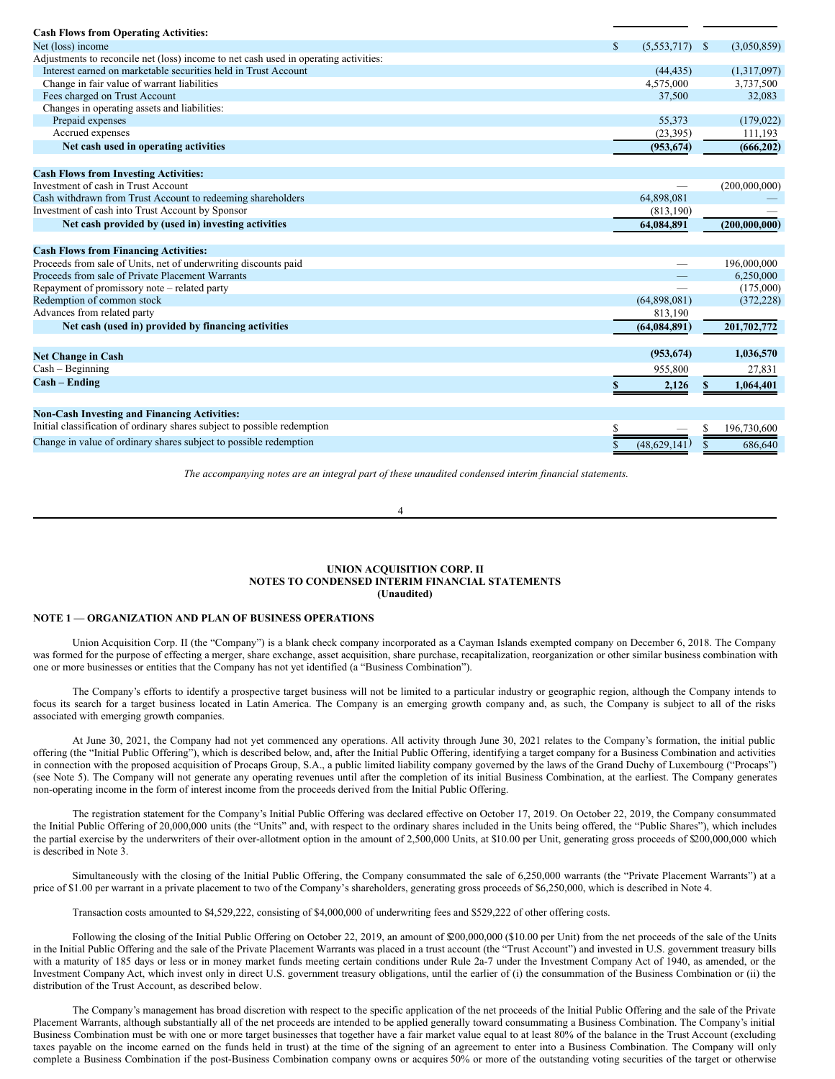| <b>Cash Flows from Operating Activities:</b>                                         |                     |                              |
|--------------------------------------------------------------------------------------|---------------------|------------------------------|
| Net (loss) income                                                                    | \$<br>(5, 553, 717) | (3,050,859)<br><sup>\$</sup> |
| Adjustments to reconcile net (loss) income to net cash used in operating activities: |                     |                              |
| Interest earned on marketable securities held in Trust Account                       | (44, 435)           | (1,317,097)                  |
| Change in fair value of warrant liabilities                                          | 4,575,000           | 3,737,500                    |
| Fees charged on Trust Account                                                        | 37,500              | 32,083                       |
| Changes in operating assets and liabilities:                                         |                     |                              |
| Prepaid expenses                                                                     | 55,373              | (179, 022)                   |
| Accrued expenses                                                                     | (23,395)            | 111,193                      |
| Net cash used in operating activities                                                | (953, 674)          | (666, 202)                   |
| <b>Cash Flows from Investing Activities:</b>                                         |                     |                              |
| Investment of cash in Trust Account                                                  |                     | (200,000,000)                |
| Cash withdrawn from Trust Account to redeeming shareholders                          | 64,898,081          |                              |
| Investment of cash into Trust Account by Sponsor                                     | (813, 190)          |                              |
| Net cash provided by (used in) investing activities                                  | 64,084,891          | (200.000.000)                |
| <b>Cash Flows from Financing Activities:</b>                                         |                     |                              |
| Proceeds from sale of Units, net of underwriting discounts paid                      |                     | 196,000,000                  |
| Proceeds from sale of Private Placement Warrants                                     |                     | 6,250,000                    |
| Repayment of promissory note – related party                                         |                     | (175,000)                    |
| Redemption of common stock                                                           | (64,898,081)        | (372, 228)                   |
| Advances from related party                                                          | 813,190             |                              |
| Net cash (used in) provided by financing activities                                  | (64, 084, 891)      | 201,702,772                  |
|                                                                                      |                     |                              |
| <b>Net Change in Cash</b>                                                            | (953, 674)          | 1,036,570                    |
| $Cash - Beginning$                                                                   | 955,800             | 27,831                       |
| $Cash - Ending$                                                                      | 2,126               | 1,064,401                    |
|                                                                                      |                     |                              |
| <b>Non-Cash Investing and Financing Activities:</b>                                  |                     |                              |
| Initial classification of ordinary shares subject to possible redemption             |                     | 196,730,600                  |
| Change in value of ordinary shares subject to possible redemption                    | \$<br>(48.629.141)  | 686,640<br>\$.               |

*The accompanying notes are an integral part of these unaudited condensed interim financial statements.*

4

#### **UNION ACQUISITION CORP. II NOTES TO CONDENSED INTERIM FINANCIAL STATEMENTS (Unaudited)**

#### **NOTE 1 — ORGANIZATION AND PLAN OF BUSINESS OPERATIONS**

Union Acquisition Corp. II (the "Company") is a blank check company incorporated as a Cayman Islands exempted company on December 6, 2018. The Company was formed for the purpose of effecting a merger, share exchange, asset acquisition, share purchase, recapitalization, reorganization or other similar business combination with one or more businesses or entities that the Company has not yet identified (a "Business Combination").

The Company's efforts to identify a prospective target business will not be limited to a particular industry or geographic region, although the Company intends to focus its search for a target business located in Latin America. The Company is an emerging growth company and, as such, the Company is subject to all of the risks associated with emerging growth companies.

At June 30, 2021, the Company had not yet commenced any operations. All activity through June 30, 2021 relates to the Company's formation, the initial public offering (the "Initial Public Offering"), which is described below, and, after the Initial Public Offering, identifying a target company for a Business Combination and activities in connection with the proposed acquisition of Procaps Group, S.A., a public limited liability company governed by the laws of the Grand Duchy of Luxembourg ("Procaps") (see Note 5). The Company will not generate any operating revenues until after the completion of its initial Business Combination, at the earliest. The Company generates non-operating income in the form of interest income from the proceeds derived from the Initial Public Offering.

The registration statement for the Company's Initial Public Offering was declared effective on October 17, 2019. On October 22, 2019, the Company consummated the Initial Public Offering of 20,000,000 units (the "Units" and, with respect to the ordinary shares included in the Units being offered, the "Public Shares"), which includes the partial exercise by the underwriters of their over-allotment option in the amount of 2,500,000 Units, at \$10.00 per Unit, generating gross proceeds of \$200,000,000 which is described in Note 3.

Simultaneously with the closing of the Initial Public Offering, the Company consummated the sale of 6,250,000 warrants (the "Private Placement Warrants") at a price of \$1.00 per warrant in a private placement to two of the Company's shareholders, generating gross proceeds of \$6,250,000, which is described in Note 4.

Transaction costs amounted to \$4,529,222, consisting of \$4,000,000 of underwriting fees and \$529,222 of other offering costs.

Following the closing of the Initial Public Offering on October 22, 2019, an amount of \$200,000,000 (\$10.00 per Unit) from the net proceeds of the sale of the Units in the Initial Public Offering and the sale of the Private Placement Warrants was placed in a trust account (the "Trust Account") and invested in U.S. government treasury bills with a maturity of 185 days or less or in money market funds meeting certain conditions under Rule 2a-7 under the Investment Company Act of 1940, as amended, or the Investment Company Act, which invest only in direct U.S. government treasury obligations, until the earlier of (i) the consummation of the Business Combination or (ii) the distribution of the Trust Account, as described below.

The Company's management has broad discretion with respect to the specific application of the net proceeds of the Initial Public Offering and the sale of the Private Placement Warrants, although substantially all of the net proceeds are intended to be applied generally toward consummating a Business Combination. The Company's initial Business Combination must be with one or more target businesses that together have a fair market value equal to at least 80% of the balance in the Trust Account (excluding taxes payable on the income earned on the funds held in trust) at the time of the signing of an agreement to enter into a Business Combination. The Company will only complete a Business Combination if the post-Business Combination company owns or acquires 50% or more of the outstanding voting securities of the target or otherwise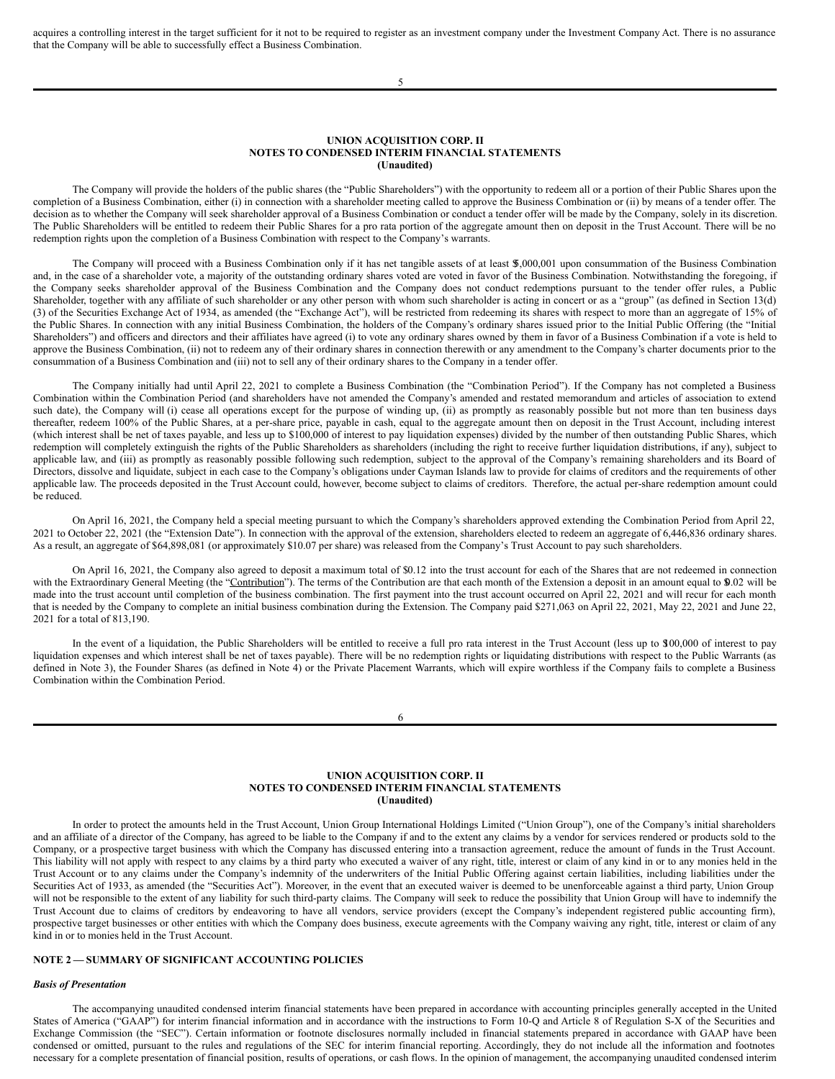acquires a controlling interest in the target sufficient for it not to be required to register as an investment company under the Investment Company Act. There is no assurance that the Company will be able to successfully effect a Business Combination.

5

#### **UNION ACQUISITION CORP. II NOTES TO CONDENSED INTERIM FINANCIAL STATEMENTS (Unaudited)**

The Company will provide the holders of the public shares (the "Public Shareholders") with the opportunity to redeem all or a portion of their Public Shares upon the completion of a Business Combination, either (i) in connection with a shareholder meeting called to approve the Business Combination or (ii) by means of a tender offer. The decision as to whether the Company will seek shareholder approval of a Business Combination or conduct a tender offer will be made by the Company, solely in its discretion. The Public Shareholders will be entitled to redeem their Public Shares for a pro rata portion of the aggregate amount then on deposit in the Trust Account. There will be no redemption rights upon the completion of a Business Combination with respect to the Company's warrants.

The Company will proceed with a Business Combination only if it has net tangible assets of at least \$5,000,001 upon consummation of the Business Combination and, in the case of a shareholder vote, a majority of the outstanding ordinary shares voted are voted in favor of the Business Combination. Notwithstanding the foregoing, if the Company seeks shareholder approval of the Business Combination and the Company does not conduct redemptions pursuant to the tender offer rules, a Public Shareholder, together with any affiliate of such shareholder or any other person with whom such shareholder is acting in concert or as a "group" (as defined in Section 13(d) (3) of the Securities Exchange Act of 1934, as amended (the "Exchange Act"), will be restricted from redeeming its shares with respect to more than an aggregate of 15% of the Public Shares. In connection with any initial Business Combination, the holders of the Company's ordinary shares issued prior to the Initial Public Offering (the "Initial Shareholders") and officers and directors and their affiliates have agreed (i) to vote any ordinary shares owned by them in favor of a Business Combination if a vote is held to approve the Business Combination, (ii) not to redeem any of their ordinary shares in connection therewith or any amendment to the Company's charter documents prior to the consummation of a Business Combination and (iii) not to sell any of their ordinary shares to the Company in a tender offer.

The Company initially had until April 22, 2021 to complete a Business Combination (the "Combination Period"). If the Company has not completed a Business Combination within the Combination Period (and shareholders have not amended the Company's amended and restated memorandum and articles of association to extend such date), the Company will (i) cease all operations except for the purpose of winding up, (ii) as promptly as reasonably possible but not more than ten business days thereafter, redeem 100% of the Public Shares, at a per-share price, payable in cash, equal to the aggregate amount then on deposit in the Trust Account, including interest (which interest shall be net of taxes payable, and less up to \$100,000 of interest to pay liquidation expenses) divided by the number of then outstanding Public Shares, which redemption will completely extinguish the rights of the Public Shareholders as shareholders (including the right to receive further liquidation distributions, if any), subject to applicable law, and (iii) as promptly as reasonably possible following such redemption, subject to the approval of the Company's remaining shareholders and its Board of Directors, dissolve and liquidate, subject in each case to the Company's obligations under Cayman Islands law to provide for claims of creditors and the requirements of other applicable law. The proceeds deposited in the Trust Account could, however, become subject to claims of creditors. Therefore, the actual per-share redemption amount could be reduced.

On April 16, 2021, the Company held a special meeting pursuant to which the Company's shareholders approved extending the Combination Period from April 22, 2021 to October 22, 2021 (the "Extension Date"). In connection with the approval of the extension, shareholders elected to redeem an aggregate of 6,446,836 ordinary shares. As a result, an aggregate of \$64,898,081 (or approximately \$10.07 per share) was released from the Company's Trust Account to pay such shareholders.

On April 16, 2021, the Company also agreed to deposit a maximum total of \$0.12 into the trust account for each of the Shares that are not redeemed in connection with the Extraordinary General Meeting (the "Contribution"). The terms of the Contribution are that each month of the Extension a deposit in an amount equal to \$0.02 will be made into the trust account until completion of the business combination. The first payment into the trust account occurred on April 22, 2021 and will recur for each month that is needed by the Company to complete an initial business combination during the Extension. The Company paid \$271,063 on April 22, 2021, May 22, 2021 and June 22, 2021 for a total of 813,190.

In the event of a liquidation, the Public Shareholders will be entitled to receive a full pro rata interest in the Trust Account (less up to \$100,000 of interest to pay liquidation expenses and which interest shall be net of taxes payable). There will be no redemption rights or liquidating distributions with respect to the Public Warrants (as defined in Note 3), the Founder Shares (as defined in Note 4) or the Private Placement Warrants, which will expire worthless if the Company fails to complete a Business Combination within the Combination Period.

#### 6

#### **UNION ACQUISITION CORP. II NOTES TO CONDENSED INTERIM FINANCIAL STATEMENTS (Unaudited)**

In order to protect the amounts held in the Trust Account, Union Group International Holdings Limited ("Union Group"), one of the Company's initial shareholders and an affiliate of a director of the Company, has agreed to be liable to the Company if and to the extent any claims by a vendor for services rendered or products sold to the Company, or a prospective target business with which the Company has discussed entering into a transaction agreement, reduce the amount of funds in the Trust Account. This liability will not apply with respect to any claims by a third party who executed a waiver of any right, title, interest or claim of any kind in or to any monies held in the Trust Account or to any claims under the Company's indemnity of the underwriters of the Initial Public Offering against certain liabilities, including liabilities under the Securities Act of 1933, as amended (the "Securities Act"). Moreover, in the event that an executed waiver is deemed to be unenforceable against a third party, Union Group will not be responsible to the extent of any liability for such third-party claims. The Company will seek to reduce the possibility that Union Group will have to indemnify the Trust Account due to claims of creditors by endeavoring to have all vendors, service providers (except the Company's independent registered public accounting firm), prospective target businesses or other entities with which the Company does business, execute agreements with the Company waiving any right, title, interest or claim of any kind in or to monies held in the Trust Account.

## **NOTE 2 — SUMMARY OF SIGNIFICANT ACCOUNTING POLICIES**

#### *Basis of Presentation*

The accompanying unaudited condensed interim financial statements have been prepared in accordance with accounting principles generally accepted in the United States of America ("GAAP") for interim financial information and in accordance with the instructions to Form 10-Q and Article 8 of Regulation S-X of the Securities and Exchange Commission (the "SEC"). Certain information or footnote disclosures normally included in financial statements prepared in accordance with GAAP have been condensed or omitted, pursuant to the rules and regulations of the SEC for interim financial reporting. Accordingly, they do not include all the information and footnotes necessary for a complete presentation of financial position, results of operations, or cash flows. In the opinion of management, the accompanying unaudited condensed interim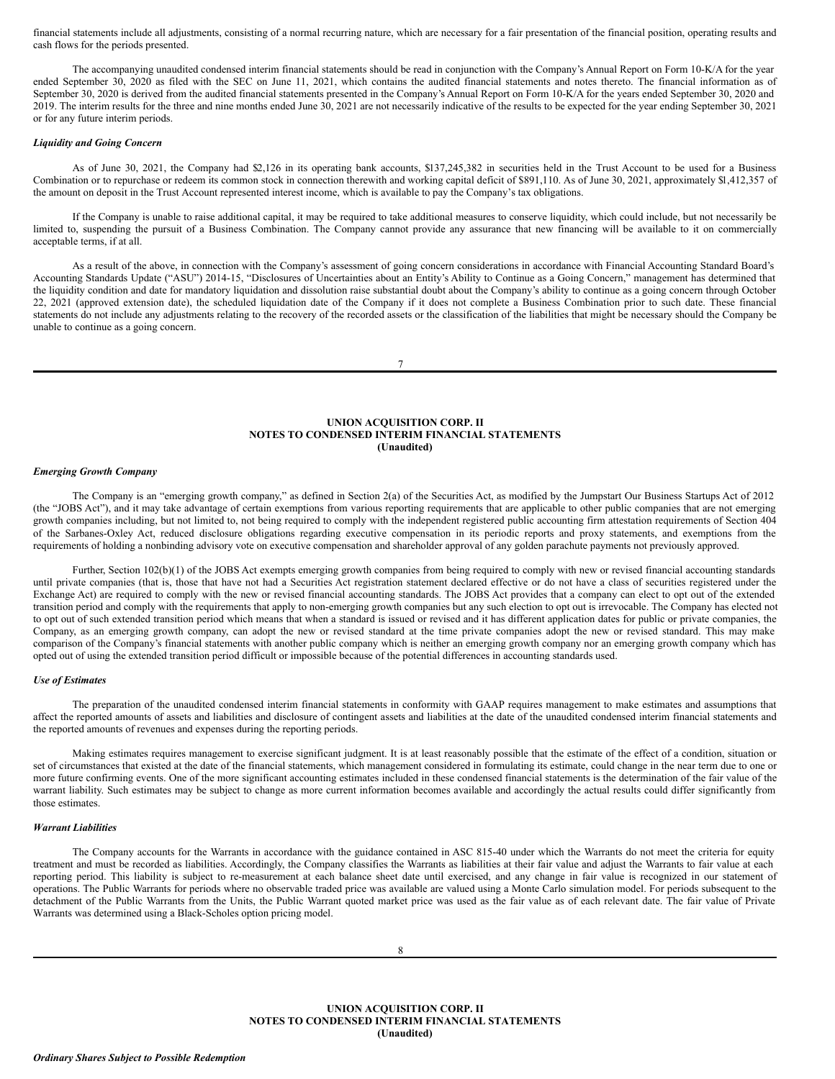financial statements include all adjustments, consisting of a normal recurring nature, which are necessary for a fair presentation of the financial position, operating results and cash flows for the periods presented.

The accompanying unaudited condensed interim financial statements should be read in conjunction with the Company's Annual Report on Form 10-K/A for the year ended September 30, 2020 as filed with the SEC on June 11, 2021, which contains the audited financial statements and notes thereto. The financial information as of September 30, 2020 is derived from the audited financial statements presented in the Company's Annual Report on Form 10-K/A for the years ended September 30, 2020 and 2019. The interim results for the three and nine months ended June 30, 2021 are not necessarily indicative of the results to be expected for the year ending September 30, 2021 or for any future interim periods.

#### *Liquidity and Going Concern*

As of June 30, 2021, the Company had \$2,126 in its operating bank accounts, \$137,245,382 in securities held in the Trust Account to be used for a Business Combination or to repurchase or redeem its common stock in connection therewith and working capital deficit of \$891,110. As of June 30, 2021, approximately \$1,412,357 of the amount on deposit in the Trust Account represented interest income, which is available to pay the Company's tax obligations.

If the Company is unable to raise additional capital, it may be required to take additional measures to conserve liquidity, which could include, but not necessarily be limited to, suspending the pursuit of a Business Combination. The Company cannot provide any assurance that new financing will be available to it on commercially acceptable terms, if at all.

As a result of the above, in connection with the Company's assessment of going concern considerations in accordance with Financial Accounting Standard Board's Accounting Standards Update ("ASU") 2014-15, "Disclosures of Uncertainties about an Entity's Ability to Continue as a Going Concern," management has determined that the liquidity condition and date for mandatory liquidation and dissolution raise substantial doubt about the Company's ability to continue as a going concern through October 22, 2021 (approved extension date), the scheduled liquidation date of the Company if it does not complete a Business Combination prior to such date. These financial statements do not include any adjustments relating to the recovery of the recorded assets or the classification of the liabilities that might be necessary should the Company be unable to continue as a going concern.

7

## **UNION ACQUISITION CORP. II NOTES TO CONDENSED INTERIM FINANCIAL STATEMENTS (Unaudited)**

#### *Emerging Growth Company*

The Company is an "emerging growth company," as defined in Section 2(a) of the Securities Act, as modified by the Jumpstart Our Business Startups Act of 2012 (the "JOBS Act"), and it may take advantage of certain exemptions from various reporting requirements that are applicable to other public companies that are not emerging growth companies including, but not limited to, not being required to comply with the independent registered public accounting firm attestation requirements of Section 404 of the Sarbanes-Oxley Act, reduced disclosure obligations regarding executive compensation in its periodic reports and proxy statements, and exemptions from the requirements of holding a nonbinding advisory vote on executive compensation and shareholder approval of any golden parachute payments not previously approved.

Further, Section 102(b)(1) of the JOBS Act exempts emerging growth companies from being required to comply with new or revised financial accounting standards until private companies (that is, those that have not had a Securities Act registration statement declared effective or do not have a class of securities registered under the Exchange Act) are required to comply with the new or revised financial accounting standards. The JOBS Act provides that a company can elect to opt out of the extended transition period and comply with the requirements that apply to non-emerging growth companies but any such election to opt out is irrevocable. The Company has elected not to opt out of such extended transition period which means that when a standard is issued or revised and it has different application dates for public or private companies, the Company, as an emerging growth company, can adopt the new or revised standard at the time private companies adopt the new or revised standard. This may make comparison of the Company's financial statements with another public company which is neither an emerging growth company nor an emerging growth company which has opted out of using the extended transition period difficult or impossible because of the potential differences in accounting standards used.

## *Use of Estimates*

The preparation of the unaudited condensed interim financial statements in conformity with GAAP requires management to make estimates and assumptions that affect the reported amounts of assets and liabilities and disclosure of contingent assets and liabilities at the date of the unaudited condensed interim financial statements and the reported amounts of revenues and expenses during the reporting periods.

Making estimates requires management to exercise significant judgment. It is at least reasonably possible that the estimate of the effect of a condition, situation or set of circumstances that existed at the date of the financial statements, which management considered in formulating its estimate, could change in the near term due to one or more future confirming events. One of the more significant accounting estimates included in these condensed financial statements is the determination of the fair value of the warrant liability. Such estimates may be subject to change as more current information becomes available and accordingly the actual results could differ significantly from those estimates.

### *Warrant Liabilities*

The Company accounts for the Warrants in accordance with the guidance contained in ASC 815-40 under which the Warrants do not meet the criteria for equity treatment and must be recorded as liabilities. Accordingly, the Company classifies the Warrants as liabilities at their fair value and adjust the Warrants to fair value at each reporting period. This liability is subject to re-measurement at each balance sheet date until exercised, and any change in fair value is recognized in our statement of operations. The Public Warrants for periods where no observable traded price was available are valued using a Monte Carlo simulation model. For periods subsequent to the detachment of the Public Warrants from the Units, the Public Warrant quoted market price was used as the fair value as of each relevant date. The fair value of Private Warrants was determined using a Black-Scholes option pricing model.

**UNION ACQUISITION CORP. II NOTES TO CONDENSED INTERIM FINANCIAL STATEMENTS (Unaudited)**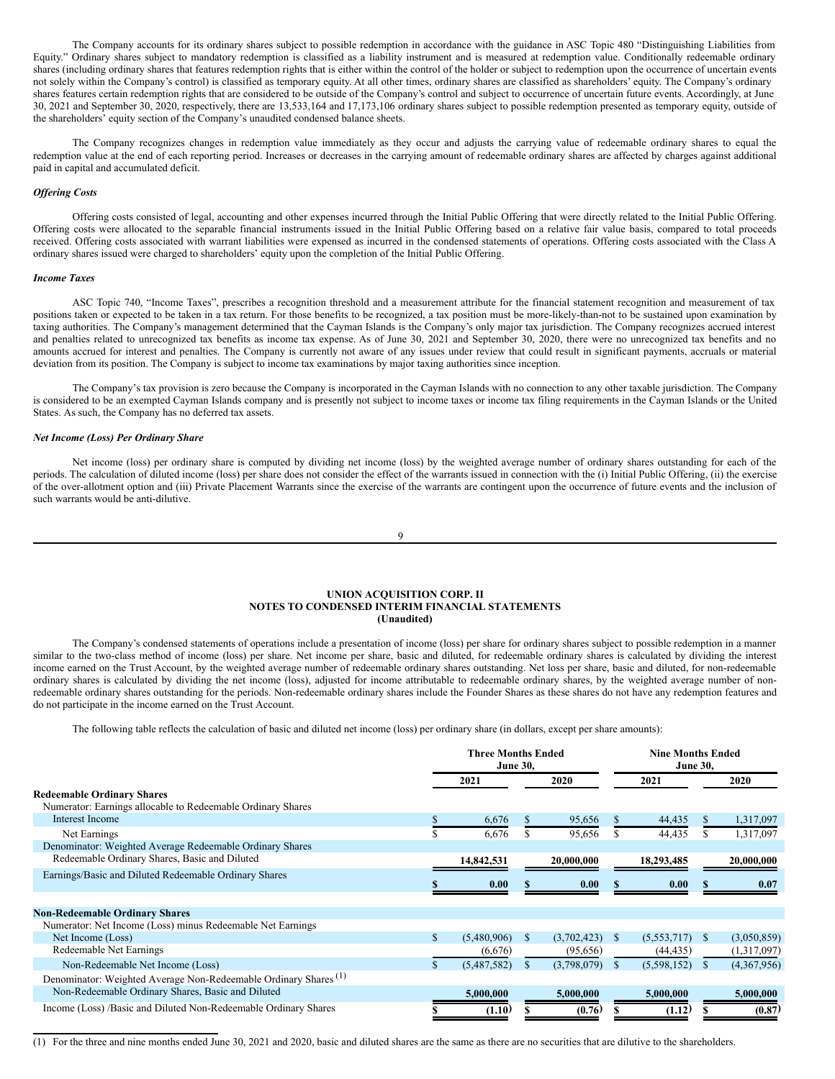The Company accounts for its ordinary shares subject to possible redemption in accordance with the guidance in ASC Topic 480 "Distinguishing Liabilities from Equity." Ordinary shares subject to mandatory redemption is classified as a liability instrument and is measured at redemption value. Conditionally redeemable ordinary shares (including ordinary shares that features redemption rights that is either within the control of the holder or subject to redemption upon the occurrence of uncertain events not solely within the Company's control) is classified as temporary equity. At all other times, ordinary shares are classified as shareholders' equity. The Company's ordinary shares features certain redemption rights that are considered to be outside of the Company's control and subject to occurrence of uncertain future events. Accordingly, at June 30, 2021 and September 30, 2020, respectively, there are 13,533,164 and 17,173,106 ordinary shares subject to possible redemption presented as temporary equity, outside of the shareholders' equity section of the Company's unaudited condensed balance sheets.

The Company recognizes changes in redemption value immediately as they occur and adjusts the carrying value of redeemable ordinary shares to equal the redemption value at the end of each reporting period. Increases or decreases in the carrying amount of redeemable ordinary shares are affected by charges against additional paid in capital and accumulated deficit.

## *Of ering Costs*

Offering costs consisted of legal, accounting and other expenses incurred through the Initial Public Offering that were directly related to the Initial Public Offering. Offering costs were allocated to the separable financial instruments issued in the Initial Public Offering based on a relative fair value basis, compared to total proceeds received. Offering costs associated with warrant liabilities were expensed as incurred in the condensed statements of operations. Offering costs associated with the Class A ordinary shares issued were charged to shareholders' equity upon the completion of the Initial Public Offering.

#### *Income Taxes*

ASC Topic 740, "Income Taxes", prescribes a recognition threshold and a measurement attribute for the financial statement recognition and measurement of tax positions taken or expected to be taken in a tax return. For those benefits to be recognized, a tax position must be more-likely-than-not to be sustained upon examination by taxing authorities. The Company's management determined that the Cayman Islands is the Company's only major tax jurisdiction. The Company recognizes accrued interest and penalties related to unrecognized tax benefits as income tax expense. As of June 30, 2021 and September 30, 2020, there were no unrecognized tax benefits and no amounts accrued for interest and penalties. The Company is currently not aware of any issues under review that could result in significant payments, accruals or material deviation from its position. The Company is subject to income tax examinations by major taxing authorities since inception.

The Company's tax provision is zero because the Company is incorporated in the Cayman Islands with no connection to any other taxable jurisdiction. The Company is considered to be an exempted Cayman Islands company and is presently not subject to income taxes or income tax filing requirements in the Cayman Islands or the United States. As such, the Company has no deferred tax assets.

#### *Net Income (Loss) Per Ordinary Share*

Net income (loss) per ordinary share is computed by dividing net income (loss) by the weighted average number of ordinary shares outstanding for each of the periods. The calculation of diluted income (loss) per share does not consider the effect of the warrants issued in connection with the (i) Initial Public Offering, (ii) the exercise of the over-allotment option and (iii) Private Placement Warrants since the exercise of the warrants are contingent upon the occurrence of future events and the inclusion of such warrants would be anti-dilutive.

$$
9\,
$$

#### **UNION ACQUISITION CORP. II NOTES TO CONDENSED INTERIM FINANCIAL STATEMENTS (Unaudited)**

The Company's condensed statements of operations include a presentation of income (loss) per share for ordinary shares subject to possible redemption in a manner similar to the two-class method of income (loss) per share. Net income per share, basic and diluted, for redeemable ordinary shares is calculated by dividing the interest income earned on the Trust Account, by the weighted average number of redeemable ordinary shares outstanding. Net loss per share, basic and diluted, for non-redeemable ordinary shares is calculated by dividing the net income (loss), adjusted for income attributable to redeemable ordinary shares, by the weighted average number of nonredeemable ordinary shares outstanding for the periods. Non-redeemable ordinary shares include the Founder Shares as these shares do not have any redemption features and do not participate in the income earned on the Trust Account.

The following table reflects the calculation of basic and diluted net income (loss) per ordinary share (in dollars, except per share amounts):

|                                                                             | <b>Three Months Ended</b><br><b>June 30,</b> |             |              |                  | <b>Nine Months Ended</b><br><b>June 30,</b> |              |             |  |
|-----------------------------------------------------------------------------|----------------------------------------------|-------------|--------------|------------------|---------------------------------------------|--------------|-------------|--|
|                                                                             |                                              | 2021        |              | 2020             | 2021                                        |              | 2020        |  |
| <b>Redeemable Ordinary Shares</b>                                           |                                              |             |              |                  |                                             |              |             |  |
| Numerator: Earnings allocable to Redeemable Ordinary Shares                 |                                              |             |              |                  |                                             |              |             |  |
| Interest Income                                                             |                                              | 6,676       |              | 95,656           | 44,435                                      |              | 1,317,097   |  |
| Net Earnings                                                                |                                              | 6,676       |              | 95,656           | 44,435                                      |              | 1,317,097   |  |
| Denominator: Weighted Average Redeemable Ordinary Shares                    |                                              |             |              |                  |                                             |              |             |  |
| Redeemable Ordinary Shares, Basic and Diluted                               |                                              | 14,842,531  |              | 20,000,000       | 18,293,485                                  |              | 20,000,000  |  |
| Earnings/Basic and Diluted Redeemable Ordinary Shares                       |                                              |             |              |                  |                                             |              |             |  |
|                                                                             |                                              | 0.00        |              | 0.00             | 0.00                                        |              | 0.07        |  |
|                                                                             |                                              |             |              |                  |                                             |              |             |  |
| <b>Non-Redeemable Ordinary Shares</b>                                       |                                              |             |              |                  |                                             |              |             |  |
| Numerator: Net Income (Loss) minus Redeemable Net Earnings                  |                                              |             |              |                  |                                             |              |             |  |
| Net Income (Loss)                                                           | \$                                           | (5,480,906) | <sup>S</sup> | $(3,702,423)$ \$ | (5,553,717)                                 | <sup>S</sup> | (3,050,859) |  |
| Redeemable Net Earnings                                                     |                                              | (6,676)     |              | (95,656)         | (44, 435)                                   |              | (1,317,097) |  |
| Non-Redeemable Net Income (Loss)                                            |                                              | (5,487,582) |              | (3,798,079)      | (5,598,152)                                 |              | (4,367,956) |  |
| Denominator: Weighted Average Non-Redeemable Ordinary Shares <sup>(1)</sup> |                                              |             |              |                  |                                             |              |             |  |
| Non-Redeemable Ordinary Shares, Basic and Diluted                           |                                              | 5,000,000   |              | 5,000,000        | 5,000,000                                   |              | 5,000,000   |  |
| Income (Loss) /Basic and Diluted Non-Redeemable Ordinary Shares             |                                              | (1.10)      |              | (0.76)           | (1.12)                                      |              | (0.87)      |  |

(1) For the three and nine months ended June 30, 2021 and 2020, basic and diluted shares are the same as there are no securities that are dilutive to the shareholders.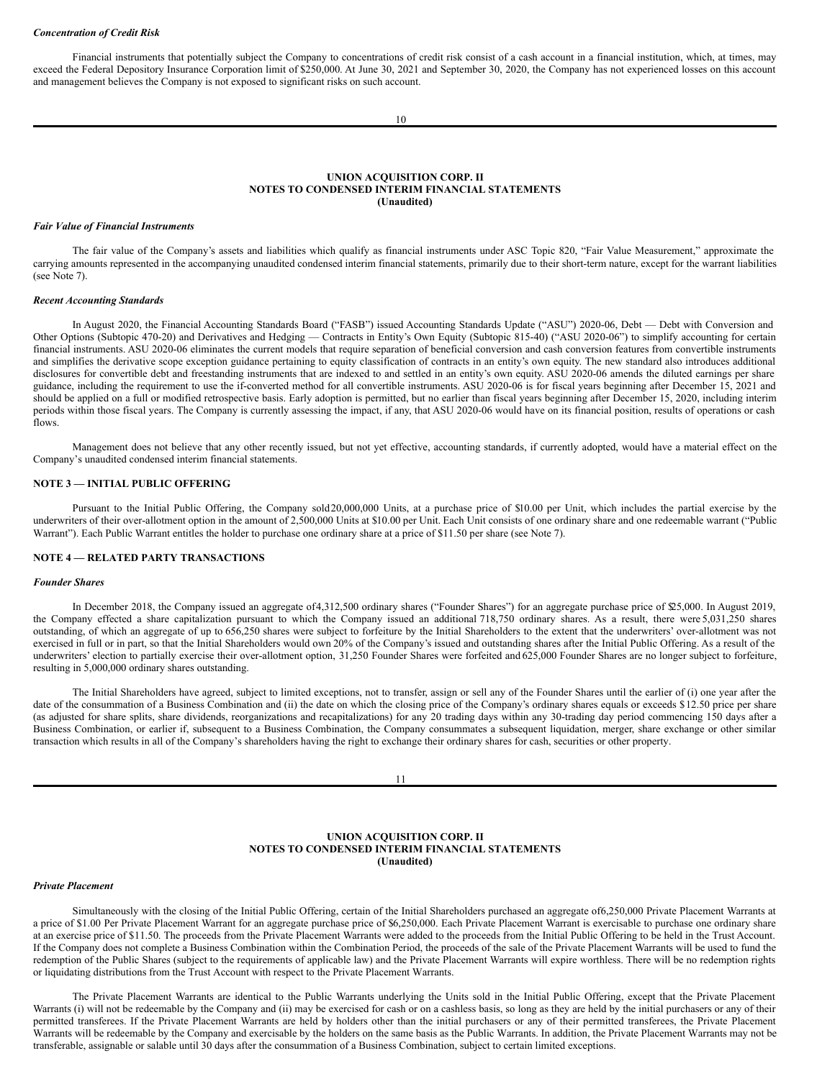#### *Concentration of Credit Risk*

Financial instruments that potentially subject the Company to concentrations of credit risk consist of a cash account in a financial institution, which, at times, may exceed the Federal Depository Insurance Corporation limit of \$250,000. At June 30, 2021 and September 30, 2020, the Company has not experienced losses on this account and management believes the Company is not exposed to significant risks on such account.

10

#### **UNION ACQUISITION CORP. II NOTES TO CONDENSED INTERIM FINANCIAL STATEMENTS (Unaudited)**

#### *Fair Value of Financial Instruments*

The fair value of the Company's assets and liabilities which qualify as financial instruments under ASC Topic 820, "Fair Value Measurement," approximate the carrying amounts represented in the accompanying unaudited condensed interim financial statements, primarily due to their short-term nature, except for the warrant liabilities (see Note 7).

#### *Recent Accounting Standards*

In August 2020, the Financial Accounting Standards Board ("FASB") issued Accounting Standards Update ("ASU") 2020-06, Debt — Debt with Conversion and Other Options (Subtopic 470-20) and Derivatives and Hedging — Contracts in Entity's Own Equity (Subtopic 815-40) ("ASU 2020-06") to simplify accounting for certain financial instruments. ASU 2020-06 eliminates the current models that require separation of beneficial conversion and cash conversion features from convertible instruments and simplifies the derivative scope exception guidance pertaining to equity classification of contracts in an entity's own equity. The new standard also introduces additional disclosures for convertible debt and freestanding instruments that are indexed to and settled in an entity's own equity. ASU 2020-06 amends the diluted earnings per share guidance, including the requirement to use the if-converted method for all convertible instruments. ASU 2020-06 is for fiscal years beginning after December 15, 2021 and should be applied on a full or modified retrospective basis. Early adoption is permitted, but no earlier than fiscal years beginning after December 15, 2020, including interim periods within those fiscal years. The Company is currently assessing the impact, if any, that ASU 2020-06 would have on its financial position, results of operations or cash flows.

Management does not believe that any other recently issued, but not yet effective, accounting standards, if currently adopted, would have a material effect on the Company's unaudited condensed interim financial statements.

## **NOTE 3 — INITIAL PUBLIC OFFERING**

Pursuant to the Initial Public Offering, the Company sold20,000,000 Units, at a purchase price of \$10.00 per Unit, which includes the partial exercise by the underwriters of their over-allotment option in the amount of 2,500,000 Units at \$10.00 per Unit. Each Unit consists of one ordinary share and one redeemable warrant ("Public Warrant"). Each Public Warrant entitles the holder to purchase one ordinary share at a price of \$11.50 per share (see Note 7).

### **NOTE 4 — RELATED PARTY TRANSACTIONS**

## *Founder Shares*

In December 2018, the Company issued an aggregate of 4,312,500 ordinary shares ("Founder Shares") for an aggregate purchase price of \$25,000. In August 2019, the Company effected a share capitalization pursuant to which the Company issued an additional 718,750 ordinary shares. As a result, there were 5,031,250 shares outstanding, of which an aggregate of up to 656,250 shares were subject to forfeiture by the Initial Shareholders to the extent that the underwriters' over-allotment was not exercised in full or in part, so that the Initial Shareholders would own 20% of the Company's issued and outstanding shares after the Initial Public Offering. As a result of the underwriters' election to partially exercise their over-allotment option, 31,250 Founder Shares were forfeited and 625,000 Founder Shares are no longer subject to forfeiture, resulting in 5,000,000 ordinary shares outstanding.

The Initial Shareholders have agreed, subject to limited exceptions, not to transfer, assign or sell any of the Founder Shares until the earlier of (i) one year after the date of the consummation of a Business Combination and (ii) the date on which the closing price of the Company's ordinary shares equals or exceeds \$12.50 price per share (as adjusted for share splits, share dividends, reorganizations and recapitalizations) for any 20 trading days within any 30-trading day period commencing 150 days after a Business Combination, or earlier if, subsequent to a Business Combination, the Company consummates a subsequent liquidation, merger, share exchange or other similar transaction which results in all of the Company's shareholders having the right to exchange their ordinary shares for cash, securities or other property.

11

## **UNION ACQUISITION CORP. II NOTES TO CONDENSED INTERIM FINANCIAL STATEMENTS (Unaudited)**

## *Private Placement*

Simultaneously with the closing of the Initial Public Offering, certain of the Initial Shareholders purchased an aggregate of6,250,000 Private Placement Warrants at a price of \$1.00 Per Private Placement Warrant for an aggregate purchase price of \$6,250,000. Each Private Placement Warrant is exercisable to purchase one ordinary share at an exercise price of \$11.50. The proceeds from the Private Placement Warrants were added to the proceeds from the Initial Public Offering to be held in the Trust Account. If the Company does not complete a Business Combination within the Combination Period, the proceeds of the sale of the Private Placement Warrants will be used to fund the redemption of the Public Shares (subject to the requirements of applicable law) and the Private Placement Warrants will expire worthless. There will be no redemption rights or liquidating distributions from the Trust Account with respect to the Private Placement Warrants.

The Private Placement Warrants are identical to the Public Warrants underlying the Units sold in the Initial Public Offering, except that the Private Placement Warrants (i) will not be redeemable by the Company and (ii) may be exercised for cash or on a cashless basis, so long as they are held by the initial purchasers or any of their permitted transferees. If the Private Placement Warrants are held by holders other than the initial purchasers or any of their permitted transferees, the Private Placement Warrants will be redeemable by the Company and exercisable by the holders on the same basis as the Public Warrants. In addition, the Private Placement Warrants may not be transferable, assignable or salable until 30 days after the consummation of a Business Combination, subject to certain limited exceptions.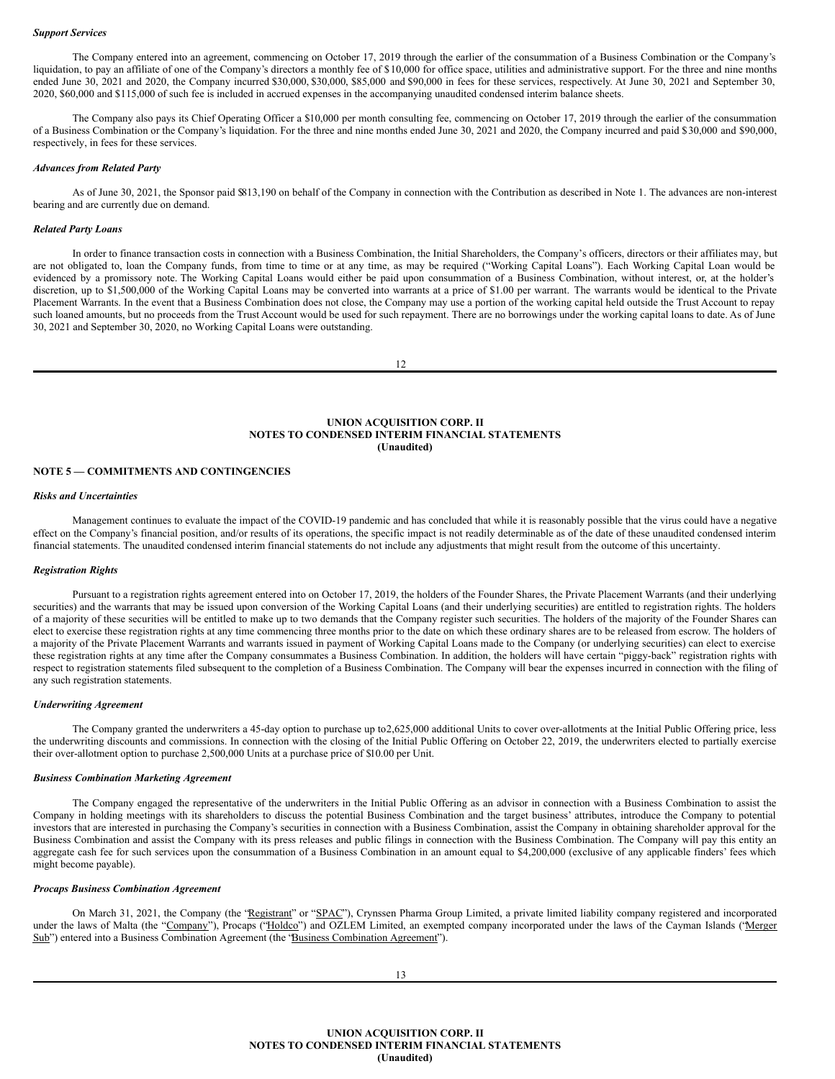#### *Support Services*

The Company entered into an agreement, commencing on October 17, 2019 through the earlier of the consummation of a Business Combination or the Company's liquidation, to pay an affiliate of one of the Company's directors a monthly fee of \$10,000 for office space, utilities and administrative support. For the three and nine months ended June 30, 2021 and 2020, the Company incurred \$30,000, \$30,000, \$85,000 and \$90,000 in fees for these services, respectively. At June 30, 2021 and September 30, 2020, \$60,000 and \$115,000 of such fee is included in accrued expenses in the accompanying unaudited condensed interim balance sheets.

The Company also pays its Chief Operating Officer a \$10,000 per month consulting fee, commencing on October 17, 2019 through the earlier of the consummation of a Business Combination or the Company's liquidation. For the three and nine months ended June 30, 2021 and 2020, the Company incurred and paid \$30,000 and \$90,000, respectively, in fees for these services.

#### *Advances from Related Party*

As of June 30, 2021, the Sponsor paid \$813,190 on behalf of the Company in connection with the Contribution as described in Note 1. The advances are non-interest bearing and are currently due on demand.

#### *Related Party Loans*

In order to finance transaction costs in connection with a Business Combination, the Initial Shareholders, the Company's officers, directors or their affiliates may, but are not obligated to, loan the Company funds, from time to time or at any time, as may be required ("Working Capital Loans"). Each Working Capital Loan would be evidenced by a promissory note. The Working Capital Loans would either be paid upon consummation of a Business Combination, without interest, or, at the holder's discretion, up to \$1,500,000 of the Working Capital Loans may be converted into warrants at a price of \$1.00 per warrant. The warrants would be identical to the Private Placement Warrants. In the event that a Business Combination does not close, the Company may use a portion of the working capital held outside the Trust Account to repay such loaned amounts, but no proceeds from the Trust Account would be used for such repayment. There are no borrowings under the working capital loans to date. As of June 30, 2021 and September 30, 2020, no Working Capital Loans were outstanding.

12

## **UNION ACQUISITION CORP. II NOTES TO CONDENSED INTERIM FINANCIAL STATEMENTS (Unaudited)**

## **NOTE 5 — COMMITMENTS AND CONTINGENCIES**

## *Risks and Uncertainties*

Management continues to evaluate the impact of the COVID-19 pandemic and has concluded that while it is reasonably possible that the virus could have a negative effect on the Company's financial position, and/or results of its operations, the specific impact is not readily determinable as of the date of these unaudited condensed interim financial statements. The unaudited condensed interim financial statements do not include any adjustments that might result from the outcome of this uncertainty.

## *Registration Rights*

Pursuant to a registration rights agreement entered into on October 17, 2019, the holders of the Founder Shares, the Private Placement Warrants (and their underlying securities) and the warrants that may be issued upon conversion of the Working Capital Loans (and their underlying securities) are entitled to registration rights. The holders of a majority of these securities will be entitled to make up to two demands that the Company register such securities. The holders of the majority of the Founder Shares can elect to exercise these registration rights at any time commencing three months prior to the date on which these ordinary shares are to be released from escrow. The holders of a majority of the Private Placement Warrants and warrants issued in payment of Working Capital Loans made to the Company (or underlying securities) can elect to exercise these registration rights at any time after the Company consummates a Business Combination. In addition, the holders will have certain "piggy-back" registration rights with respect to registration statements filed subsequent to the completion of a Business Combination. The Company will bear the expenses incurred in connection with the filing of any such registration statements.

#### *Underwriting Agreement*

The Company granted the underwriters a 45-day option to purchase up to2,625,000 additional Units to cover over-allotments at the Initial Public Offering price, less the underwriting discounts and commissions. In connection with the closing of the Initial Public Offering on October 22, 2019, the underwriters elected to partially exercise their over-allotment option to purchase 2,500,000 Units at a purchase price of \$10.00 per Unit.

## *Business Combination Marketing Agreement*

The Company engaged the representative of the underwriters in the Initial Public Offering as an advisor in connection with a Business Combination to assist the Company in holding meetings with its shareholders to discuss the potential Business Combination and the target business' attributes, introduce the Company to potential investors that are interested in purchasing the Company's securities in connection with a Business Combination, assist the Company in obtaining shareholder approval for the Business Combination and assist the Company with its press releases and public filings in connection with the Business Combination. The Company will pay this entity an aggregate cash fee for such services upon the consummation of a Business Combination in an amount equal to \$4,200,000 (exclusive of any applicable finders' fees which might become payable).

#### *Procaps Business Combination Agreement*

On March 31, 2021, the Company (the "Registrant" or "SPAC"), Crynssen Pharma Group Limited, a private limited liability company registered and incorporated under the laws of Malta (the "Company"), Procaps ("Holdco") and OZLEM Limited, an exempted company incorporated under the laws of the Cayman Islands ("Merger Sub") entered into a Business Combination Agreement (the "Business Combination Agreement").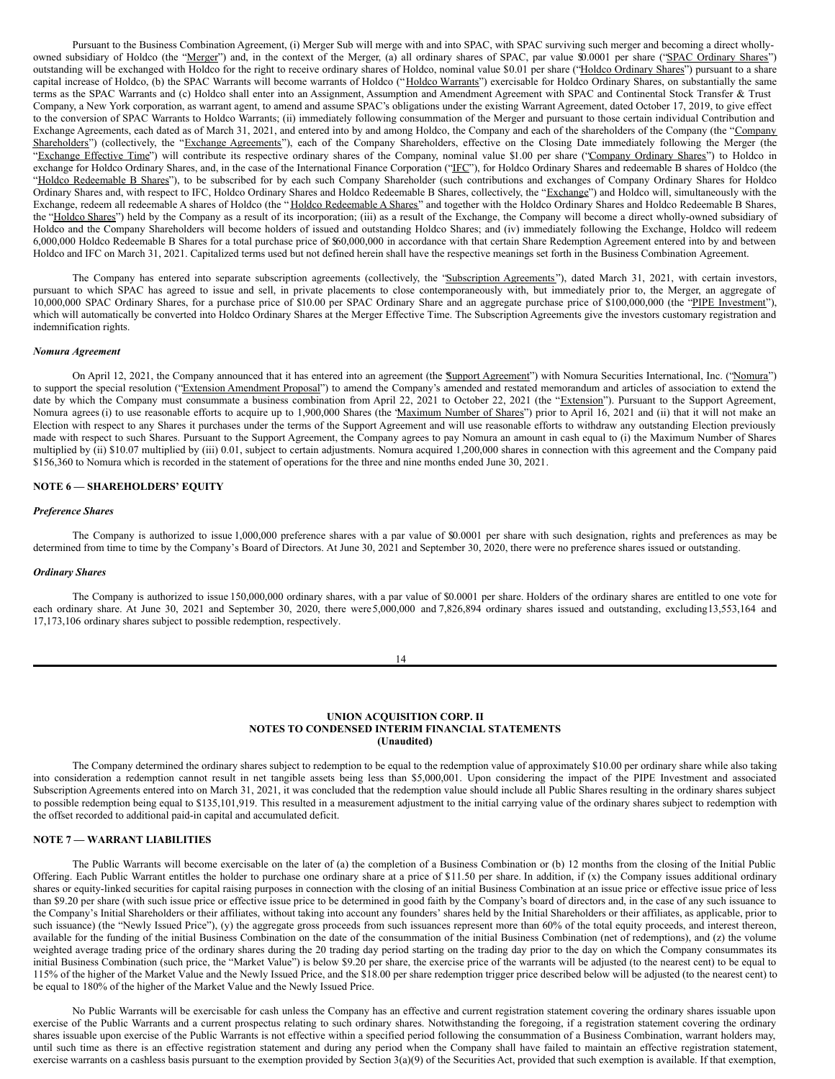Pursuant to the Business Combination Agreement, (i) Merger Sub will merge with and into SPAC, with SPAC surviving such merger and becoming a direct whollyowned subsidiary of Holdco (the "Merger") and, in the context of the Merger, (a) all ordinary shares of SPAC, par value \$0.0001 per share ("SPAC Ordinary Shares") outstanding will be exchanged with Holdco for the right to receive ordinary shares of Holdco, nominal value \$0.01 per share ("Holdco Ordinary Shares") pursuant to a share capital increase of Holdco, (b) the SPAC Warrants will become warrants of Holdco ("Holdco Warrants") exercisable for Holdco Ordinary Shares, on substantially the same terms as the SPAC Warrants and (c) Holdco shall enter into an Assignment, Assumption and Amendment Agreement with SPAC and Continental Stock Transfer & Trust Company, a New York corporation, as warrant agent, to amend and assume SPAC's obligations under the existing Warrant Agreement, dated October 17, 2019, to give effect to the conversion of SPAC Warrants to Holdco Warrants; (ii) immediately following consummation of the Merger and pursuant to those certain individual Contribution and Exchange Agreements, each dated as of March 31, 2021, and entered into by and among Holdco, the Company and each of the shareholders of the Company (the "Company Shareholders") (collectively, the "Exchange Agreements"), each of the Company Shareholders, effective on the Closing Date immediately following the Merger (the "Exchange Effective Time") will contribute its respective ordinary shares of the Company, nominal value \$1.00 per share ("Company Ordinary Shares") to Holdco in exchange for Holdco Ordinary Shares, and, in the case of the International Finance Corporation ("IFC"), for Holdco Ordinary Shares and redeemable B shares of Holdco (the "Holdco Redeemable B Shares"), to be subscribed for by each such Company Shareholder (such contributions and exchanges of Company Ordinary Shares for Holdco Ordinary Shares and, with respect to IFC, Holdco Ordinary Shares and Holdco Redeemable B Shares, collectively, the "Exchange") and Holdco will, simultaneously with the Exchange, redeem all redeemable A shares of Holdco (the "Holdco Redeemable A Shares" and together with the Holdco Ordinary Shares and Holdco Redeemable B Shares, the "Holdco Shares") held by the Company as a result of its incorporation; (iii) as a result of the Exchange, the Company will become a direct wholly-owned subsidiary of Holdco and the Company Shareholders will become holders of issued and outstanding Holdco Shares; and (iv) immediately following the Exchange, Holdco will redeem 6,000,000 Holdco Redeemable B Shares for a total purchase price of \$60,000,000 in accordance with that certain Share Redemption Agreement entered into by and between Holdco and IFC on March 31, 2021. Capitalized terms used but not defined herein shall have the respective meanings set forth in the Business Combination Agreement.

The Company has entered into separate subscription agreements (collectively, the "Subscription Agreements"), dated March 31, 2021, with certain investors, pursuant to which SPAC has agreed to issue and sell, in private placements to close contemporaneously with, but immediately prior to, the Merger, an aggregate of 10,000,000 SPAC Ordinary Shares, for a purchase price of \$10.00 per SPAC Ordinary Share and an aggregate purchase price of \$100,000,000 (the "PIPE Investment"), which will automatically be converted into Holdco Ordinary Shares at the Merger Effective Time. The Subscription Agreements give the investors customary registration and indemnification rights.

#### *Nomura Agreement*

On April 12, 2021, the Company announced that it has entered into an agreement (the **Support Agreement**") with Nomura Securities International, Inc. ("Nomura") to support the special resolution ("Extension Amendment Proposal") to amend the Company's amended and restated memorandum and articles of association to extend the date by which the Company must consummate a business combination from April 22, 2021 to October 22, 2021 (the "Extension"). Pursuant to the Support Agreement, Nomura agrees (i) to use reasonable efforts to acquire up to 1,900,000 Shares (the "Maximum Number of Shares") prior to April 16, 2021 and (ii) that it will not make an Election with respect to any Shares it purchases under the terms of the Support Agreement and will use reasonable efforts to withdraw any outstanding Election previously made with respect to such Shares. Pursuant to the Support Agreement, the Company agrees to pay Nomura an amount in cash equal to (i) the Maximum Number of Shares multiplied by (ii) \$10.07 multiplied by (iii) 0.01, subject to certain adjustments. Nomura acquired 1,200,000 shares in connection with this agreement and the Company paid \$156,360 to Nomura which is recorded in the statement of operations for the three and nine months ended June 30, 2021.

## **NOTE 6 — SHAREHOLDERS' EQUITY**

#### *Preference Shares*

The Company is authorized to issue 1,000,000 preference shares with a par value of \$0.0001 per share with such designation, rights and preferences as may be determined from time to time by the Company's Board of Directors. At June 30, 2021 and September 30, 2020, there were no preference shares issued or outstanding.

#### *Ordinary Shares*

The Company is authorized to issue 150,000,000 ordinary shares, with a par value of \$0.0001 per share. Holders of the ordinary shares are entitled to one vote for each ordinary share. At June 30, 2021 and September 30, 2020, there were 5,000,000 and 7,826,894 ordinary shares issued and outstanding, excluding13,553,164 and 17,173,106 ordinary shares subject to possible redemption, respectively.

#### **UNION ACQUISITION CORP. II NOTES TO CONDENSED INTERIM FINANCIAL STATEMENTS (Unaudited)**

The Company determined the ordinary shares subject to redemption to be equal to the redemption value of approximately \$10.00 per ordinary share while also taking into consideration a redemption cannot result in net tangible assets being less than \$5,000,001. Upon considering the impact of the PIPE Investment and associated Subscription Agreements entered into on March 31, 2021, it was concluded that the redemption value should include all Public Shares resulting in the ordinary shares subject to possible redemption being equal to \$135,101,919. This resulted in a measurement adjustment to the initial carrying value of the ordinary shares subject to redemption with the offset recorded to additional paid-in capital and accumulated deficit.

## **NOTE 7 — WARRANT LIABILITIES**

The Public Warrants will become exercisable on the later of (a) the completion of a Business Combination or (b) 12 months from the closing of the Initial Public Offering. Each Public Warrant entitles the holder to purchase one ordinary share at a price of \$11.50 per share. In addition, if (x) the Company issues additional ordinary shares or equity-linked securities for capital raising purposes in connection with the closing of an initial Business Combination at an issue price or effective issue price of less than \$9.20 per share (with such issue price or effective issue price to be determined in good faith by the Company's board of directors and, in the case of any such issuance to the Company's Initial Shareholders or their affiliates, without taking into account any founders' shares held by the Initial Shareholders or their affiliates, as applicable, prior to such issuance) (the "Newly Issued Price"), (y) the aggregate gross proceeds from such issuances represent more than 60% of the total equity proceeds, and interest thereon, available for the funding of the initial Business Combination on the date of the consummation of the initial Business Combination (net of redemptions), and (z) the volume weighted average trading price of the ordinary shares during the 20 trading day period starting on the trading day prior to the day on which the Company consummates its initial Business Combination (such price, the "Market Value") is below \$9.20 per share, the exercise price of the warrants will be adjusted (to the nearest cent) to be equal to 115% of the higher of the Market Value and the Newly Issued Price, and the \$18.00 per share redemption trigger price described below will be adjusted (to the nearest cent) to be equal to 180% of the higher of the Market Value and the Newly Issued Price.

No Public Warrants will be exercisable for cash unless the Company has an effective and current registration statement covering the ordinary shares issuable upon exercise of the Public Warrants and a current prospectus relating to such ordinary shares. Notwithstanding the foregoing, if a registration statement covering the ordinary shares issuable upon exercise of the Public Warrants is not effective within a specified period following the consummation of a Business Combination, warrant holders may, until such time as there is an effective registration statement and during any period when the Company shall have failed to maintain an effective registration statement, exercise warrants on a cashless basis pursuant to the exemption provided by Section 3(a)(9) of the Securities Act, provided that such exemption is available. If that exemption,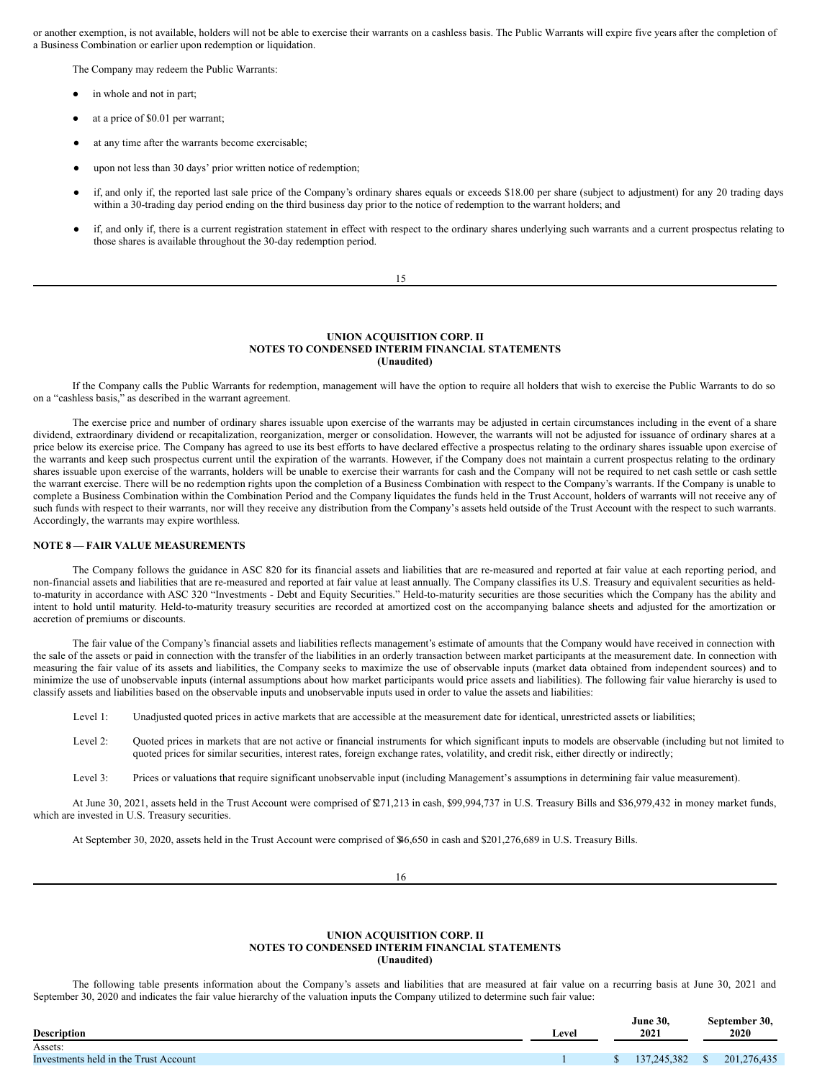or another exemption, is not available, holders will not be able to exercise their warrants on a cashless basis. The Public Warrants will expire five years after the completion of a Business Combination or earlier upon redemption or liquidation.

The Company may redeem the Public Warrants:

- in whole and not in part;
- at a price of \$0.01 per warrant;
- at any time after the warrants become exercisable;
- upon not less than 30 days' prior written notice of redemption;
- if, and only if, the reported last sale price of the Company's ordinary shares equals or exceeds \$18.00 per share (subject to adjustment) for any 20 trading days within a 30-trading day period ending on the third business day prior to the notice of redemption to the warrant holders; and
- if, and only if, there is a current registration statement in effect with respect to the ordinary shares underlying such warrants and a current prospectus relating to those shares is available throughout the 30-day redemption period.

#### 15

## **UNION ACQUISITION CORP. II NOTES TO CONDENSED INTERIM FINANCIAL STATEMENTS (Unaudited)**

If the Company calls the Public Warrants for redemption, management will have the option to require all holders that wish to exercise the Public Warrants to do so on a "cashless basis," as described in the warrant agreement.

The exercise price and number of ordinary shares issuable upon exercise of the warrants may be adjusted in certain circumstances including in the event of a share dividend, extraordinary dividend or recapitalization, reorganization, merger or consolidation. However, the warrants will not be adjusted for issuance of ordinary shares at a price below its exercise price. The Company has agreed to use its best efforts to have declared effective a prospectus relating to the ordinary shares issuable upon exercise of the warrants and keep such prospectus current until the expiration of the warrants. However, if the Company does not maintain a current prospectus relating to the ordinary shares issuable upon exercise of the warrants, holders will be unable to exercise their warrants for cash and the Company will not be required to net cash settle or cash settle the warrant exercise. There will be no redemption rights upon the completion of a Business Combination with respect to the Company's warrants. If the Company is unable to complete a Business Combination within the Combination Period and the Company liquidates the funds held in the Trust Account, holders of warrants will not receive any of such funds with respect to their warrants, nor will they receive any distribution from the Company's assets held outside of the Trust Account with the respect to such warrants. Accordingly, the warrants may expire worthless.

## **NOTE 8 — FAIR VALUE MEASUREMENTS**

The Company follows the guidance in ASC 820 for its financial assets and liabilities that are re-measured and reported at fair value at each reporting period, and non-financial assets and liabilities that are re-measured and reported at fair value at least annually. The Company classifies its U.S. Treasury and equivalent securities as heldto-maturity in accordance with ASC 320 "Investments - Debt and Equity Securities." Held-to-maturity securities are those securities which the Company has the ability and intent to hold until maturity. Held-to-maturity treasury securities are recorded at amortized cost on the accompanying balance sheets and adjusted for the amortization or accretion of premiums or discounts.

The fair value of the Company's financial assets and liabilities reflects management's estimate of amounts that the Company would have received in connection with the sale of the assets or paid in connection with the transfer of the liabilities in an orderly transaction between market participants at the measurement date. In connection with measuring the fair value of its assets and liabilities, the Company seeks to maximize the use of observable inputs (market data obtained from independent sources) and to minimize the use of unobservable inputs (internal assumptions about how market participants would price assets and liabilities). The following fair value hierarchy is used to classify assets and liabilities based on the observable inputs and unobservable inputs used in order to value the assets and liabilities:

Level 1: Unadjusted quoted prices in active markets that are accessible at the measurement date for identical, unrestricted assets or liabilities;

- Level 2: Quoted prices in markets that are not active or financial instruments for which significant inputs to models are observable (including but not limited to quoted prices for similar securities, interest rates, foreign exchange rates, volatility, and credit risk, either directly or indirectly;
- Level 3: Prices or valuations that require significant unobservable input (including Management's assumptions in determining fair value measurement).

At June 30, 2021, assets held in the Trust Account were comprised of \$271,213 in cash, \$99,994,737 in U.S. Treasury Bills and \$36,979,432 in money market funds, which are invested in U.S. Treasury securities.

At September 30, 2020, assets held in the Trust Account were comprised of \$46,650 in cash and \$201,276,689 in U.S. Treasury Bills.

16

### **UNION ACQUISITION CORP. II NOTES TO CONDENSED INTERIM FINANCIAL STATEMENTS (Unaudited)**

The following table presents information about the Company's assets and liabilities that are measured at fair value on a recurring basis at June 30, 2021 and September 30, 2020 and indicates the fair value hierarchy of the valuation inputs the Company utilized to determine such fair value:

| ∟evel | 2021 |                                  | September 30,<br>2020 |
|-------|------|----------------------------------|-----------------------|
|       |      |                                  |                       |
|       |      |                                  | 201.276.435           |
|       |      | <b>June 30.</b><br>137, 245, 382 | - \$                  |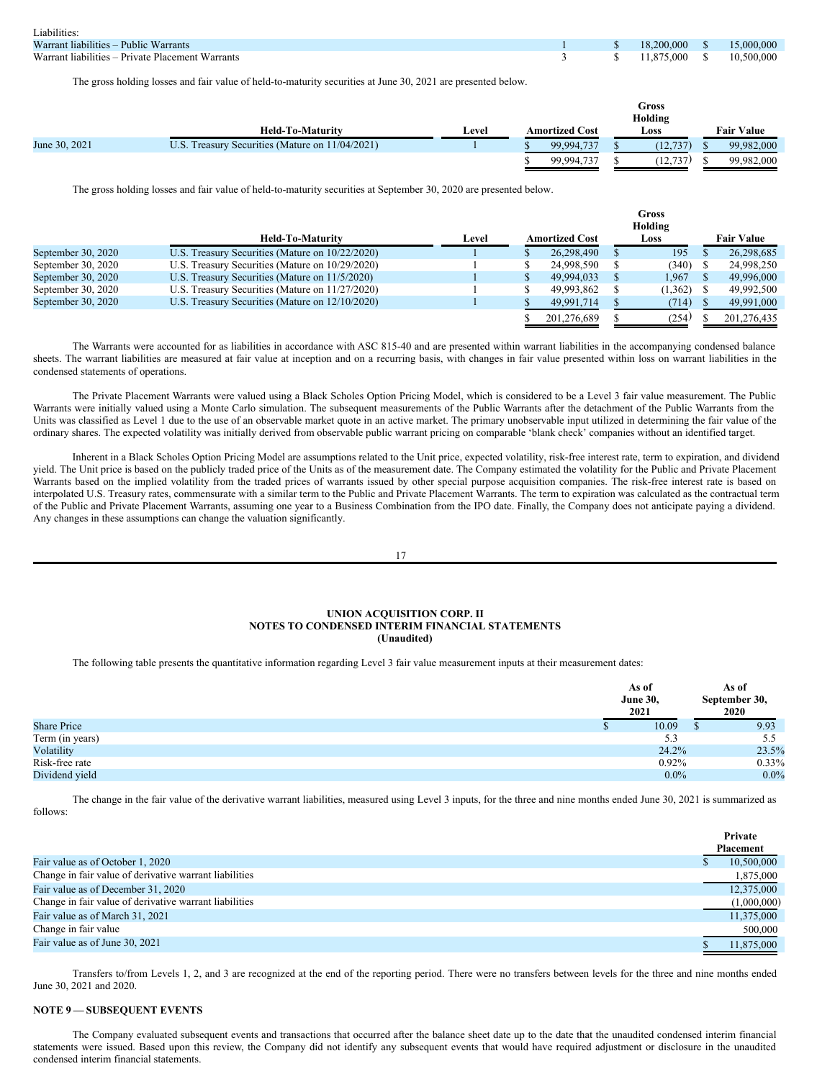| Liabilities:                                     |  |                               |  |
|--------------------------------------------------|--|-------------------------------|--|
| Warrant liabilities – Public Warrants            |  | 1 \$ 18.200,000 \$ 15.000,000 |  |
| Warrant liabilities – Private Placement Warrants |  | 3 \$ 11,875,000 \$ 10,500,000 |  |

The gross holding losses and fair value of held-to-maturity securities at June 30, 2021 are presented below.

|               |                                                 |       |                       | Gross<br>Holding |                   |
|---------------|-------------------------------------------------|-------|-----------------------|------------------|-------------------|
|               | <b>Held-To-Maturity</b>                         | Level | <b>Amortized Cost</b> | Loss             | <b>Fair Value</b> |
| June 30, 2021 | U.S. Treasury Securities (Mature on 11/04/2021) |       | 99.994.737            | (12, 737)        | 99.982,000        |
|               |                                                 |       | 99.994.737            | (12, 737)        | 99.982.000        |

The gross holding losses and fair value of held-to-maturity securities at September 30, 2020 are presented below.

|                    |                                                 |       | Gross<br>Holding |                       |  |         |  |                   |
|--------------------|-------------------------------------------------|-------|------------------|-----------------------|--|---------|--|-------------------|
|                    | <b>Held-To-Maturity</b>                         | Level |                  | <b>Amortized Cost</b> |  | Loss    |  | <b>Fair Value</b> |
| September 30, 2020 | U.S. Treasury Securities (Mature on 10/22/2020) |       |                  | 26,298,490            |  | 195     |  | 26,298,685        |
| September 30, 2020 | U.S. Treasury Securities (Mature on 10/29/2020) |       |                  | 24,998,590            |  | (340)   |  | 24,998,250        |
| September 30, 2020 | U.S. Treasury Securities (Mature on 11/5/2020)  |       |                  | 49.994.033            |  | 1.967   |  | 49,996,000        |
| September 30, 2020 | U.S. Treasury Securities (Mature on 11/27/2020) |       |                  | 49.993.862            |  | (1,362) |  | 49,992,500        |
| September 30, 2020 | U.S. Treasury Securities (Mature on 12/10/2020) |       |                  | 49.991.714            |  | (714)   |  | 49,991,000        |
|                    |                                                 |       |                  | 201.276.689           |  | (254)   |  | 201.276.435       |

The Warrants were accounted for as liabilities in accordance with ASC 815-40 and are presented within warrant liabilities in the accompanying condensed balance sheets. The warrant liabilities are measured at fair value at inception and on a recurring basis, with changes in fair value presented within loss on warrant liabilities in the condensed statements of operations.

The Private Placement Warrants were valued using a Black Scholes Option Pricing Model, which is considered to be a Level 3 fair value measurement. The Public Warrants were initially valued using a Monte Carlo simulation. The subsequent measurements of the Public Warrants after the detachment of the Public Warrants from the Units was classified as Level 1 due to the use of an observable market quote in an active market. The primary unobservable input utilized in determining the fair value of the ordinary shares. The expected volatility was initially derived from observable public warrant pricing on comparable 'blank check' companies without an identified target.

Inherent in a Black Scholes Option Pricing Model are assumptions related to the Unit price, expected volatility, risk-free interest rate, term to expiration, and dividend yield. The Unit price is based on the publicly traded price of the Units as of the measurement date. The Company estimated the volatility for the Public and Private Placement Warrants based on the implied volatility from the traded prices of warrants issued by other special purpose acquisition companies. The risk-free interest rate is based on interpolated U.S. Treasury rates, commensurate with a similar term to the Public and Private Placement Warrants. The term to expiration was calculated as the contractual term of the Public and Private Placement Warrants, assuming one year to a Business Combination from the IPO date. Finally, the Company does not anticipate paying a dividend. Any changes in these assumptions can change the valuation significantly.

#### 17

#### **UNION ACQUISITION CORP. II NOTES TO CONDENSED INTERIM FINANCIAL STATEMENTS (Unaudited)**

The following table presents the quantitative information regarding Level 3 fair value measurement inputs at their measurement dates:

|                    | As of<br><b>June 30,</b><br>2021 | As of<br>September 30,<br>2020 |
|--------------------|----------------------------------|--------------------------------|
| <b>Share Price</b> | 10.09                            | 9.93                           |
| Term (in years)    | 5.3                              | 5.5                            |
| Volatility         | 24.2%                            | 23.5%                          |
| Risk-free rate     | 0.92%                            | $0.33\%$                       |
| Dividend yield     | $0.0\%$                          | $0.0\%$                        |

The change in the fair value of the derivative warrant liabilities, measured using Level 3 inputs, for the three and nine months ended June 30, 2021 is summarized as follows:

|                                                        | Private          |
|--------------------------------------------------------|------------------|
|                                                        | <b>Placement</b> |
| Fair value as of October 1, 2020                       | 10,500,000       |
| Change in fair value of derivative warrant liabilities | 1,875,000        |
| Fair value as of December 31, 2020                     | 12,375,000       |
| Change in fair value of derivative warrant liabilities | (1,000,000)      |
| Fair value as of March 31, 2021                        | 11,375,000       |
| Change in fair value                                   | 500,000          |
| Fair value as of June 30, 2021                         | 11,875,000       |

Transfers to/from Levels 1, 2, and 3 are recognized at the end of the reporting period. There were no transfers between levels for the three and nine months ended June 30, 2021 and 2020.

## **NOTE 9 — SUBSEQUENT EVENTS**

The Company evaluated subsequent events and transactions that occurred after the balance sheet date up to the date that the unaudited condensed interim financial statements were issued. Based upon this review, the Company did not identify any subsequent events that would have required adjustment or disclosure in the unaudited condensed interim financial statements.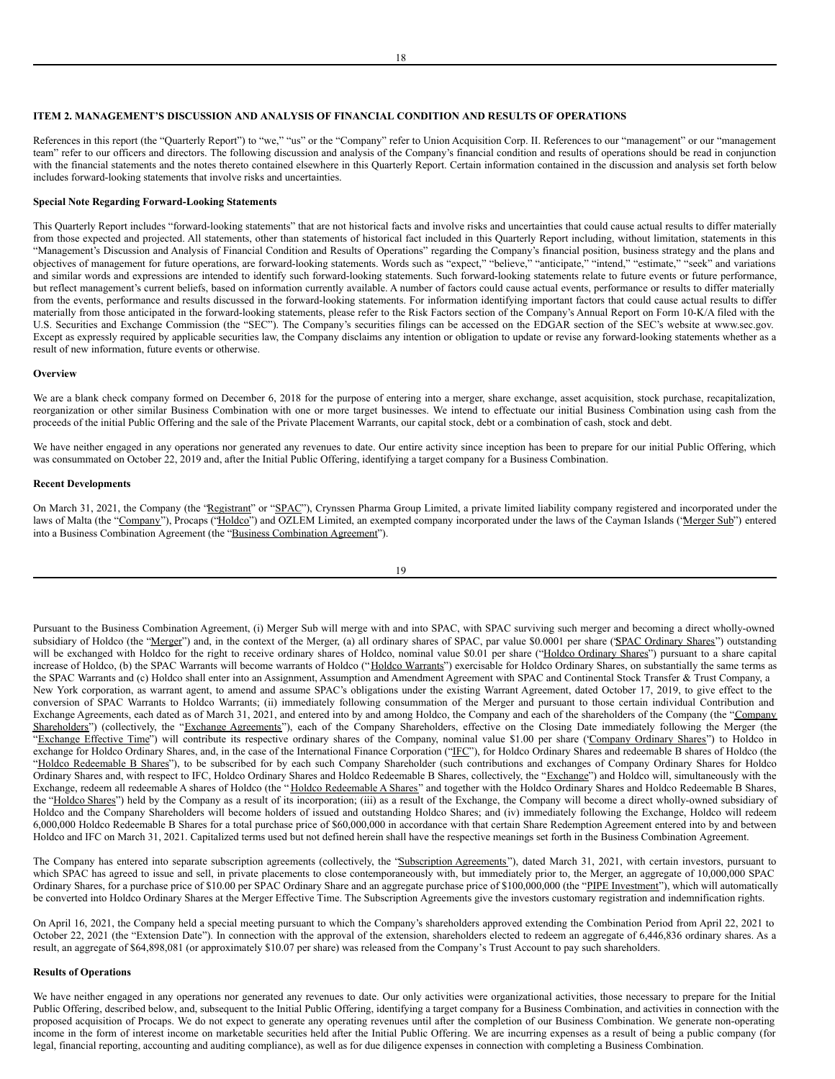#### **ITEM 2. MANAGEMENT'S DISCUSSION AND ANALYSIS OF FINANCIAL CONDITION AND RESULTS OF OPERATIONS**

References in this report (the "Quarterly Report") to "we," "us" or the "Company" refer to Union Acquisition Corp. II. References to our "management" or our "management" team" refer to our officers and directors. The following discussion and analysis of the Company's financial condition and results of operations should be read in conjunction with the financial statements and the notes thereto contained elsewhere in this Quarterly Report. Certain information contained in the discussion and analysis set forth below includes forward-looking statements that involve risks and uncertainties.

## **Special Note Regarding Forward-Looking Statements**

This Quarterly Report includes "forward-looking statements" that are not historical facts and involve risks and uncertainties that could cause actual results to differ materially from those expected and projected. All statements, other than statements of historical fact included in this Quarterly Report including, without limitation, statements in this "Management's Discussion and Analysis of Financial Condition and Results of Operations" regarding the Company's financial position, business strategy and the plans and objectives of management for future operations, are forward-looking statements. Words such as "expect," "believe," "anticipate," "intend," "estimate," "seek" and variations and similar words and expressions are intended to identify such forward-looking statements. Such forward-looking statements relate to future events or future performance, but reflect management's current beliefs, based on information currently available. A number of factors could cause actual events, performance or results to differ materially from the events, performance and results discussed in the forward-looking statements. For information identifying important factors that could cause actual results to differ materially from those anticipated in the forward-looking statements, please refer to the Risk Factors section of the Company's Annual Report on Form 10-K/A filed with the U.S. Securities and Exchange Commission (the "SEC"). The Company's securities filings can be accessed on the EDGAR section of the SEC's website at www.sec.gov. Except as expressly required by applicable securities law, the Company disclaims any intention or obligation to update or revise any forward-looking statements whether as a result of new information, future events or otherwise.

#### **Overview**

We are a blank check company formed on December 6, 2018 for the purpose of entering into a merger, share exchange, asset acquisition, stock purchase, recapitalization, reorganization or other similar Business Combination with one or more target businesses. We intend to effectuate our initial Business Combination using cash from the proceeds of the initial Public Offering and the sale of the Private Placement Warrants, our capital stock, debt or a combination of cash, stock and debt.

We have neither engaged in any operations nor generated any revenues to date. Our entire activity since inception has been to prepare for our initial Public Offering, which was consummated on October 22, 2019 and, after the Initial Public Offering, identifying a target company for a Business Combination.

#### **Recent Developments**

On March 31, 2021, the Company (the "Registrant" or "SPAC"), Crynssen Pharma Group Limited, a private limited liability company registered and incorporated under the laws of Malta (the "Company"), Procaps ("Holdco") and OZLEM Limited, an exempted company incorporated under the laws of the Cayman Islands ("Merger Sub") entered into a Business Combination Agreement (the "Business Combination Agreement").

Pursuant to the Business Combination Agreement, (i) Merger Sub will merge with and into SPAC, with SPAC surviving such merger and becoming a direct wholly-owned subsidiary of Holdco (the "Merger") and, in the context of the Merger, (a) all ordinary shares of SPAC, par value \$0.0001 per share ('SPAC Ordinary Shares'') outstanding will be exchanged with Holdco for the right to receive ordinary shares of Holdco, nominal value \$0.01 per share ("Holdco Ordinary Shares") pursuant to a share capital increase of Holdco, (b) the SPAC Warrants will become warrants of Holdco ("Holdco Warrants") exercisable for Holdco Ordinary Shares, on substantially the same terms as the SPAC Warrants and (c) Holdco shall enter into an Assignment, Assumption and Amendment Agreement with SPAC and Continental Stock Transfer & Trust Company, a New York corporation, as warrant agent, to amend and assume SPAC's obligations under the existing Warrant Agreement, dated October 17, 2019, to give effect to the conversion of SPAC Warrants to Holdco Warrants; (ii) immediately following consummation of the Merger and pursuant to those certain individual Contribution and Exchange Agreements, each dated as of March 31, 2021, and entered into by and among Holdco, the Company and each of the shareholders of the Company (the "Company Shareholders") (collectively, the "Exchange Agreements"), each of the Company Shareholders, effective on the Closing Date immediately following the Merger (the "Exchange Effective Time") will contribute its respective ordinary shares of the Company, nominal value \$1.00 per share ('Company Ordinary Shares'') to Holdco in exchange for Holdco Ordinary Shares, and, in the case of the International Finance Corporation ("IFC"), for Holdco Ordinary Shares and redeemable B shares of Holdco (the "Holdco Redeemable B Shares"), to be subscribed for by each such Company Shareholder (such contributions and exchanges of Company Ordinary Shares for Holdco Ordinary Shares and, with respect to IFC, Holdco Ordinary Shares and Holdco Redeemable B Shares, collectively, the "Exchange") and Holdco will, simultaneously with the Exchange, redeem all redeemable A shares of Holdco (the "Holdco Redeemable A Shares" and together with the Holdco Ordinary Shares and Holdco Redeemable B Shares, the "Holdco Shares") held by the Company as a result of its incorporation; (iii) as a result of the Exchange, the Company will become a direct wholly-owned subsidiary of Holdco and the Company Shareholders will become holders of issued and outstanding Holdco Shares; and (iv) immediately following the Exchange, Holdco will redeem 6,000,000 Holdco Redeemable B Shares for a total purchase price of \$60,000,000 in accordance with that certain Share Redemption Agreement entered into by and between Holdco and IFC on March 31, 2021. Capitalized terms used but not defined herein shall have the respective meanings set forth in the Business Combination Agreement.

The Company has entered into separate subscription agreements (collectively, the "Subscription Agreements"), dated March 31, 2021, with certain investors, pursuant to which SPAC has agreed to issue and sell, in private placements to close contemporaneously with, but immediately prior to, the Merger, an aggregate of 10,000,000 SPAC Ordinary Shares, for a purchase price of \$10.00 per SPAC Ordinary Share and an aggregate purchase price of \$100,000,000 (the "PIPE Investment"), which will automatically be converted into Holdco Ordinary Shares at the Merger Effective Time. The Subscription Agreements give the investors customary registration and indemnification rights.

On April 16, 2021, the Company held a special meeting pursuant to which the Company's shareholders approved extending the Combination Period from April 22, 2021 to October 22, 2021 (the "Extension Date"). In connection with the approval of the extension, shareholders elected to redeem an aggregate of 6,446,836 ordinary shares. As a result, an aggregate of \$64,898,081 (or approximately \$10.07 per share) was released from the Company's Trust Account to pay such shareholders.

## **Results of Operations**

We have neither engaged in any operations nor generated any revenues to date. Our only activities were organizational activities, those necessary to prepare for the Initial Public Offering, described below, and, subsequent to the Initial Public Offering, identifying a target company for a Business Combination, and activities in connection with the proposed acquisition of Procaps. We do not expect to generate any operating revenues until after the completion of our Business Combination. We generate non-operating income in the form of interest income on marketable securities held after the Initial Public Offering. We are incurring expenses as a result of being a public company (for legal, financial reporting, accounting and auditing compliance), as well as for due diligence expenses in connection with completing a Business Combination.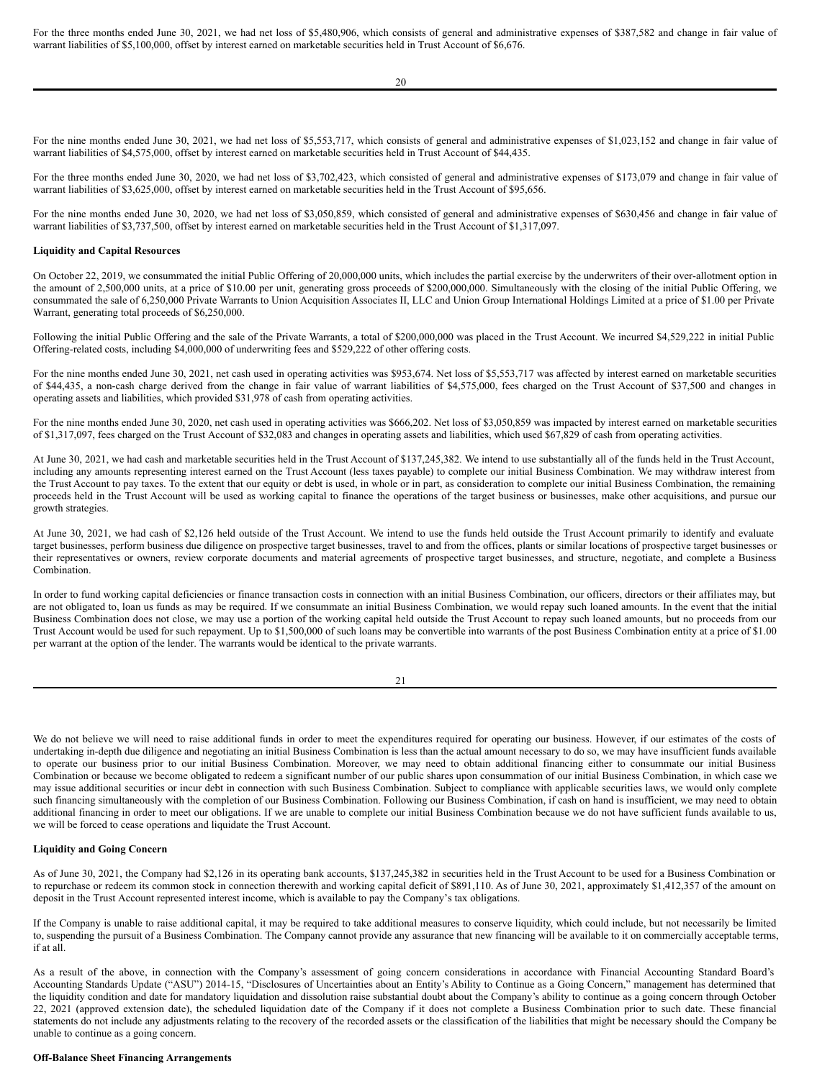For the three months ended June 30, 2021, we had net loss of \$5,480,906, which consists of general and administrative expenses of \$387,582 and change in fair value of warrant liabilities of \$5,100,000, offset by interest earned on marketable securities held in Trust Account of \$6,676.

For the nine months ended June 30, 2021, we had net loss of \$5,553,717, which consists of general and administrative expenses of \$1,023,152 and change in fair value of warrant liabilities of \$4,575,000, offset by interest earned on marketable securities held in Trust Account of \$44,435.

For the three months ended June 30, 2020, we had net loss of \$3,702,423, which consisted of general and administrative expenses of \$173,079 and change in fair value of warrant liabilities of \$3,625,000, offset by interest earned on marketable securities held in the Trust Account of \$95,656.

For the nine months ended June 30, 2020, we had net loss of \$3,050,859, which consisted of general and administrative expenses of \$630,456 and change in fair value of warrant liabilities of \$3,737,500, offset by interest earned on marketable securities held in the Trust Account of \$1,317,097.

#### **Liquidity and Capital Resources**

On October 22, 2019, we consummated the initial Public Offering of 20,000,000 units, which includes the partial exercise by the underwriters of their over-allotment option in the amount of 2,500,000 units, at a price of \$10.00 per unit, generating gross proceeds of \$200,000,000. Simultaneously with the closing of the initial Public Offering, we consummated the sale of 6,250,000 Private Warrants to Union Acquisition Associates II, LLC and Union Group International Holdings Limited at a price of \$1.00 per Private Warrant, generating total proceeds of \$6,250,000.

Following the initial Public Offering and the sale of the Private Warrants, a total of \$200,000,000 was placed in the Trust Account. We incurred \$4,529,222 in initial Public Offering-related costs, including \$4,000,000 of underwriting fees and \$529,222 of other offering costs.

For the nine months ended June 30, 2021, net cash used in operating activities was \$953,674. Net loss of \$5,553,717 was affected by interest earned on marketable securities of \$44,435, a non-cash charge derived from the change in fair value of warrant liabilities of \$4,575,000, fees charged on the Trust Account of \$37,500 and changes in operating assets and liabilities, which provided \$31,978 of cash from operating activities.

For the nine months ended June 30, 2020, net cash used in operating activities was \$666,202. Net loss of \$3,050,859 was impacted by interest earned on marketable securities of \$1,317,097, fees charged on the Trust Account of \$32,083 and changes in operating assets and liabilities, which used \$67,829 of cash from operating activities.

At June 30, 2021, we had cash and marketable securities held in the Trust Account of \$137,245,382. We intend to use substantially all of the funds held in the Trust Account, including any amounts representing interest earned on the Trust Account (less taxes payable) to complete our initial Business Combination. We may withdraw interest from the Trust Account to pay taxes. To the extent that our equity or debt is used, in whole or in part, as consideration to complete our initial Business Combination, the remaining proceeds held in the Trust Account will be used as working capital to finance the operations of the target business or businesses, make other acquisitions, and pursue our growth strategies.

At June 30, 2021, we had cash of \$2,126 held outside of the Trust Account. We intend to use the funds held outside the Trust Account primarily to identify and evaluate target businesses, perform business due diligence on prospective target businesses, travel to and from the offices, plants or similar locations of prospective target businesses or their representatives or owners, review corporate documents and material agreements of prospective target businesses, and structure, negotiate, and complete a Business Combination.

In order to fund working capital deficiencies or finance transaction costs in connection with an initial Business Combination, our officers, directors or their affiliates may, but are not obligated to, loan us funds as may be required. If we consummate an initial Business Combination, we would repay such loaned amounts. In the event that the initial Business Combination does not close, we may use a portion of the working capital held outside the Trust Account to repay such loaned amounts, but no proceeds from our Trust Account would be used for such repayment. Up to \$1,500,000 of such loans may be convertible into warrants of the post Business Combination entity at a price of \$1.00 per warrant at the option of the lender. The warrants would be identical to the private warrants.

| I |  |
|---|--|

We do not believe we will need to raise additional funds in order to meet the expenditures required for operating our business. However, if our estimates of the costs of undertaking in-depth due diligence and negotiating an initial Business Combination is less than the actual amount necessary to do so, we may have insufficient funds available to operate our business prior to our initial Business Combination. Moreover, we may need to obtain additional financing either to consummate our initial Business Combination or because we become obligated to redeem a significant number of our public shares upon consummation of our initial Business Combination, in which case we may issue additional securities or incur debt in connection with such Business Combination. Subject to compliance with applicable securities laws, we would only complete such financing simultaneously with the completion of our Business Combination. Following our Business Combination, if cash on hand is insufficient, we may need to obtain additional financing in order to meet our obligations. If we are unable to complete our initial Business Combination because we do not have sufficient funds available to us, we will be forced to cease operations and liquidate the Trust Account.

## **Liquidity and Going Concern**

As of June 30, 2021, the Company had \$2,126 in its operating bank accounts, \$137,245,382 in securities held in the Trust Account to be used for a Business Combination or to repurchase or redeem its common stock in connection therewith and working capital deficit of \$891,110. As of June 30, 2021, approximately \$1,412,357 of the amount on deposit in the Trust Account represented interest income, which is available to pay the Company's tax obligations.

If the Company is unable to raise additional capital, it may be required to take additional measures to conserve liquidity, which could include, but not necessarily be limited to, suspending the pursuit of a Business Combination. The Company cannot provide any assurance that new financing will be available to it on commercially acceptable terms, if at all.

As a result of the above, in connection with the Company's assessment of going concern considerations in accordance with Financial Accounting Standard Board's Accounting Standards Update ("ASU") 2014-15, "Disclosures of Uncertainties about an Entity's Ability to Continue as a Going Concern," management has determined that the liquidity condition and date for mandatory liquidation and dissolution raise substantial doubt about the Company's ability to continue as a going concern through October 22, 2021 (approved extension date), the scheduled liquidation date of the Company if it does not complete a Business Combination prior to such date. These financial statements do not include any adjustments relating to the recovery of the recorded assets or the classification of the liabilities that might be necessary should the Company be unable to continue as a going concern.

## **Off-Balance Sheet Financing Arrangements**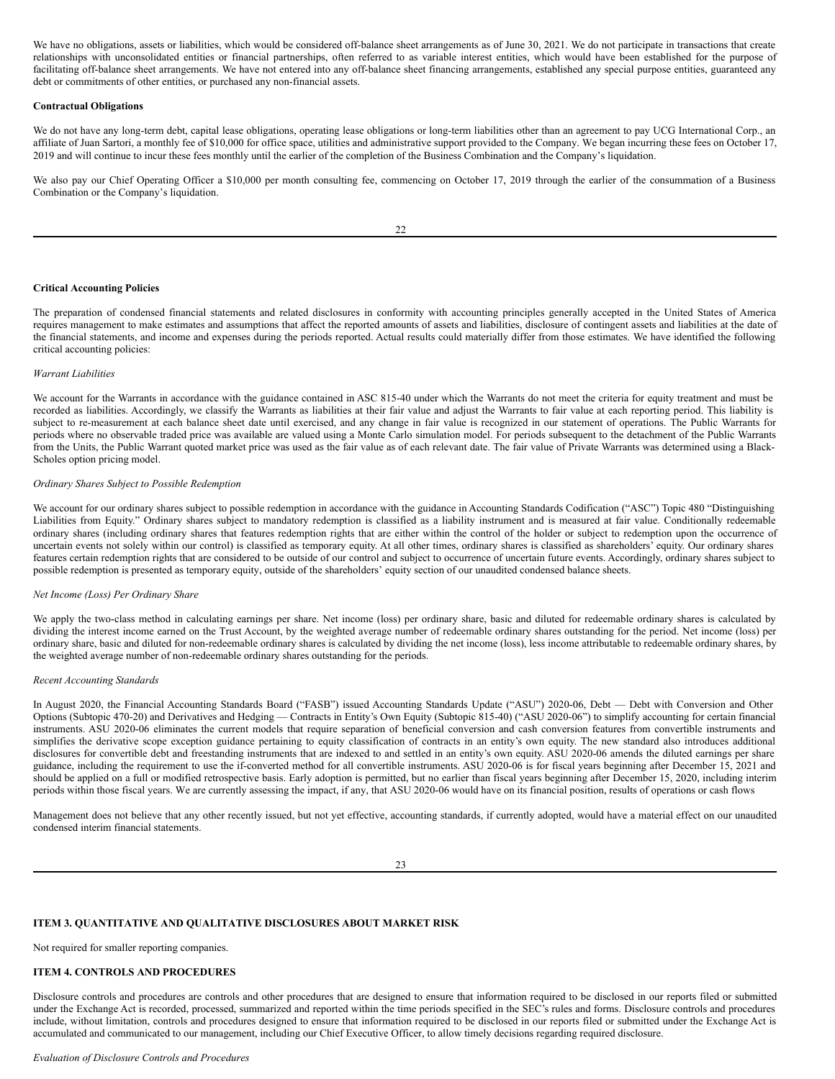We have no obligations, assets or liabilities, which would be considered off-balance sheet arrangements as of June 30, 2021. We do not participate in transactions that create relationships with unconsolidated entities or financial partnerships, often referred to as variable interest entities, which would have been established for the purpose of facilitating off-balance sheet arrangements. We have not entered into any off-balance sheet financing arrangements, established any special purpose entities, guaranteed any debt or commitments of other entities, or purchased any non-financial assets.

#### **Contractual Obligations**

We do not have any long-term debt, capital lease obligations, operating lease obligations or long-term liabilities other than an agreement to pay UCG International Corp., an affiliate of Juan Sartori, a monthly fee of \$10,000 for office space, utilities and administrative support provided to the Company. We began incurring these fees on October 17, 2019 and will continue to incur these fees monthly until the earlier of the completion of the Business Combination and the Company's liquidation.

We also pay our Chief Operating Officer a \$10,000 per month consulting fee, commencing on October 17, 2019 through the earlier of the consummation of a Business Combination or the Company's liquidation.

#### **Critical Accounting Policies**

The preparation of condensed financial statements and related disclosures in conformity with accounting principles generally accepted in the United States of America requires management to make estimates and assumptions that affect the reported amounts of assets and liabilities, disclosure of contingent assets and liabilities at the date of the financial statements, and income and expenses during the periods reported. Actual results could materially differ from those estimates. We have identified the following critical accounting policies:

## *Warrant Liabilities*

We account for the Warrants in accordance with the guidance contained in ASC 815-40 under which the Warrants do not meet the criteria for equity treatment and must be recorded as liabilities. Accordingly, we classify the Warrants as liabilities at their fair value and adjust the Warrants to fair value at each reporting period. This liability is subject to re-measurement at each balance sheet date until exercised, and any change in fair value is recognized in our statement of operations. The Public Warrants for periods where no observable traded price was available are valued using a Monte Carlo simulation model. For periods subsequent to the detachment of the Public Warrants from the Units, the Public Warrant quoted market price was used as the fair value as of each relevant date. The fair value of Private Warrants was determined using a Black-Scholes option pricing model.

#### *Ordinary Shares Subject to Possible Redemption*

We account for our ordinary shares subject to possible redemption in accordance with the guidance in Accounting Standards Codification ("ASC") Topic 480 "Distinguishing Liabilities from Equity." Ordinary shares subject to mandatory redemption is classified as a liability instrument and is measured at fair value. Conditionally redeemable ordinary shares (including ordinary shares that features redemption rights that are either within the control of the holder or subject to redemption upon the occurrence of uncertain events not solely within our control) is classified as temporary equity. At all other times, ordinary shares is classified as shareholders' equity. Our ordinary shares features certain redemption rights that are considered to be outside of our control and subject to occurrence of uncertain future events. Accordingly, ordinary shares subject to possible redemption is presented as temporary equity, outside of the shareholders' equity section of our unaudited condensed balance sheets.

#### *Net Income (Loss) Per Ordinary Share*

We apply the two-class method in calculating earnings per share. Net income (loss) per ordinary share, basic and diluted for redeemable ordinary shares is calculated by dividing the interest income earned on the Trust Account, by the weighted average number of redeemable ordinary shares outstanding for the period. Net income (loss) per ordinary share, basic and diluted for non-redeemable ordinary shares is calculated by dividing the net income (loss), less income attributable to redeemable ordinary shares, by the weighted average number of non-redeemable ordinary shares outstanding for the periods.

## *Recent Accounting Standards*

In August 2020, the Financial Accounting Standards Board ("FASB") issued Accounting Standards Update ("ASU") 2020-06, Debt — Debt with Conversion and Other Options (Subtopic 470-20) and Derivatives and Hedging — Contracts in Entity's Own Equity (Subtopic 815-40) ("ASU 2020-06") to simplify accounting for certain financial instruments. ASU 2020-06 eliminates the current models that require separation of beneficial conversion and cash conversion features from convertible instruments and simplifies the derivative scope exception guidance pertaining to equity classification of contracts in an entity's own equity. The new standard also introduces additional disclosures for convertible debt and freestanding instruments that are indexed to and settled in an entity's own equity. ASU 2020-06 amends the diluted earnings per share guidance, including the requirement to use the if-converted method for all convertible instruments. ASU 2020-06 is for fiscal years beginning after December 15, 2021 and should be applied on a full or modified retrospective basis. Early adoption is permitted, but no earlier than fiscal years beginning after December 15, 2020, including interim periods within those fiscal years. We are currently assessing the impact, if any, that ASU 2020-06 would have on its financial position, results of operations or cash flows

Management does not believe that any other recently issued, but not yet effective, accounting standards, if currently adopted, would have a material effect on our unaudited condensed interim financial statements.

23

## **ITEM 3. QUANTITATIVE AND QUALITATIVE DISCLOSURES ABOUT MARKET RISK**

Not required for smaller reporting companies.

## **ITEM 4. CONTROLS AND PROCEDURES**

Disclosure controls and procedures are controls and other procedures that are designed to ensure that information required to be disclosed in our reports filed or submitted under the Exchange Act is recorded, processed, summarized and reported within the time periods specified in the SEC's rules and forms. Disclosure controls and procedures include, without limitation, controls and procedures designed to ensure that information required to be disclosed in our reports filed or submitted under the Exchange Act is accumulated and communicated to our management, including our Chief Executive Officer, to allow timely decisions regarding required disclosure.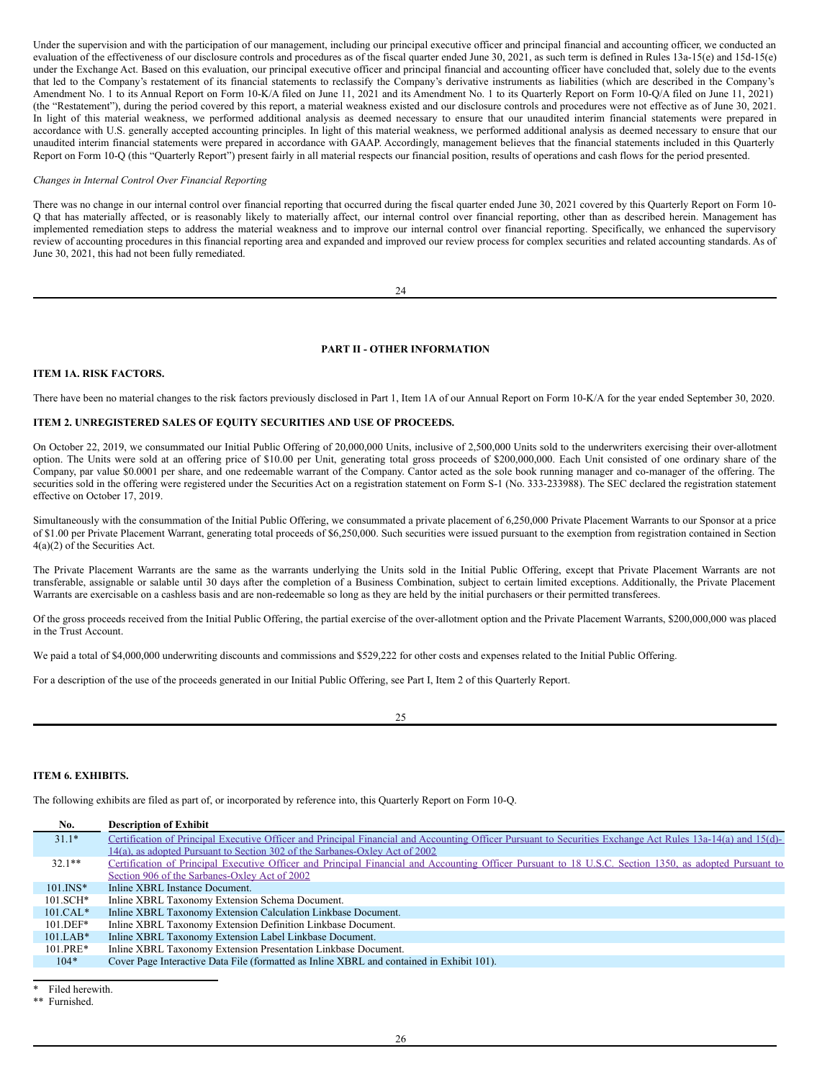Under the supervision and with the participation of our management, including our principal executive officer and principal financial and accounting officer, we conducted an evaluation of the effectiveness of our disclosure controls and procedures as of the fiscal quarter ended June 30, 2021, as such term is defined in Rules 13a-15(e) and 15d-15(e) under the Exchange Act. Based on this evaluation, our principal executive officer and principal financial and accounting officer have concluded that, solely due to the events that led to the Company's restatement of its financial statements to reclassify the Company's derivative instruments as liabilities (which are described in the Company's Amendment No. 1 to its Annual Report on Form 10-K/A filed on June 11, 2021 and its Amendment No. 1 to its Quarterly Report on Form 10-Q/A filed on June 11, 2021) (the "Restatement"), during the period covered by this report, a material weakness existed and our disclosure controls and procedures were not effective as of June 30, 2021. In light of this material weakness, we performed additional analysis as deemed necessary to ensure that our unaudited interim financial statements were prepared in accordance with U.S. generally accepted accounting principles. In light of this material weakness, we performed additional analysis as deemed necessary to ensure that our unaudited interim financial statements were prepared in accordance with GAAP. Accordingly, management believes that the financial statements included in this Quarterly Report on Form 10-Q (this "Quarterly Report") present fairly in all material respects our financial position, results of operations and cash flows for the period presented.

## *Changes in Internal Control Over Financial Reporting*

There was no change in our internal control over financial reporting that occurred during the fiscal quarter ended June 30, 2021 covered by this Quarterly Report on Form 10- Q that has materially affected, or is reasonably likely to materially affect, our internal control over financial reporting, other than as described herein. Management has implemented remediation steps to address the material weakness and to improve our internal control over financial reporting. Specifically, we enhanced the supervisory review of accounting procedures in this financial reporting area and expanded and improved our review process for complex securities and related accounting standards. As of June 30, 2021, this had not been fully remediated.

24

## **PART II - OTHER INFORMATION**

## **ITEM 1A. RISK FACTORS.**

There have been no material changes to the risk factors previously disclosed in Part 1, Item 1A of our Annual Report on Form 10-K/A for the year ended September 30, 2020.

#### **ITEM 2. UNREGISTERED SALES OF EQUITY SECURITIES AND USE OF PROCEEDS.**

On October 22, 2019, we consummated our Initial Public Offering of 20,000,000 Units, inclusive of 2,500,000 Units sold to the underwriters exercising their over-allotment option. The Units were sold at an offering price of \$10.00 per Unit, generating total gross proceeds of \$200,000,000. Each Unit consisted of one ordinary share of the Company, par value \$0.0001 per share, and one redeemable warrant of the Company. Cantor acted as the sole book running manager and co-manager of the offering. The securities sold in the offering were registered under the Securities Act on a registration statement on Form S-1 (No. 333-233988). The SEC declared the registration statement effective on October 17, 2019.

Simultaneously with the consummation of the Initial Public Offering, we consummated a private placement of 6,250,000 Private Placement Warrants to our Sponsor at a price of \$1.00 per Private Placement Warrant, generating total proceeds of \$6,250,000. Such securities were issued pursuant to the exemption from registration contained in Section 4(a)(2) of the Securities Act.

The Private Placement Warrants are the same as the warrants underlying the Units sold in the Initial Public Offering, except that Private Placement Warrants are not transferable, assignable or salable until 30 days after the completion of a Business Combination, subject to certain limited exceptions. Additionally, the Private Placement Warrants are exercisable on a cashless basis and are non-redeemable so long as they are held by the initial purchasers or their permitted transferees.

Of the gross proceeds received from the Initial Public Offering, the partial exercise of the over-allotment option and the Private Placement Warrants, \$200,000,000 was placed in the Trust Account.

We paid a total of \$4,000,000 underwriting discounts and commissions and \$529,222 for other costs and expenses related to the Initial Public Offering.

For a description of the use of the proceeds generated in our Initial Public Offering, see Part I, Item 2 of this Quarterly Report.

#### **ITEM 6. EXHIBITS.**

The following exhibits are filed as part of, or incorporated by reference into, this Quarterly Report on Form 10-Q.

| No.          | <b>Description of Exhibit</b>                                                                                                                              |
|--------------|------------------------------------------------------------------------------------------------------------------------------------------------------------|
| $31.1*$      | Certification of Principal Executive Officer and Principal Financial and Accounting Officer Pursuant to Securities Exchange Act Rules 13a-14(a) and 15(d)- |
|              | 14(a), as adopted Pursuant to Section 302 of the Sarbanes-Oxley Act of 2002                                                                                |
| $32.1**$     | Certification of Principal Executive Officer and Principal Financial and Accounting Officer Pursuant to 18 U.S.C. Section 1350, as adopted Pursuant to     |
|              | Section 906 of the Sarbanes-Oxley Act of 2002                                                                                                              |
| $101$ . INS* | Inline XBRL Instance Document.                                                                                                                             |
| $101.SCH*$   | Inline XBRL Taxonomy Extension Schema Document.                                                                                                            |
| $101.CAL*$   | Inline XBRL Taxonomy Extension Calculation Linkbase Document.                                                                                              |
| $101.$ DEF*  | Inline XBRL Taxonomy Extension Definition Linkbase Document.                                                                                               |
| $101.LAB*$   | Inline XBRL Taxonomy Extension Label Linkbase Document.                                                                                                    |
| $101.PRE*$   | Inline XBRL Taxonomy Extension Presentation Linkbase Document.                                                                                             |
| $104*$       | Cover Page Interactive Data File (formatted as Inline XBRL and contained in Exhibit 101).                                                                  |

Filed herewith.

<sup>\*\*</sup> Furnished.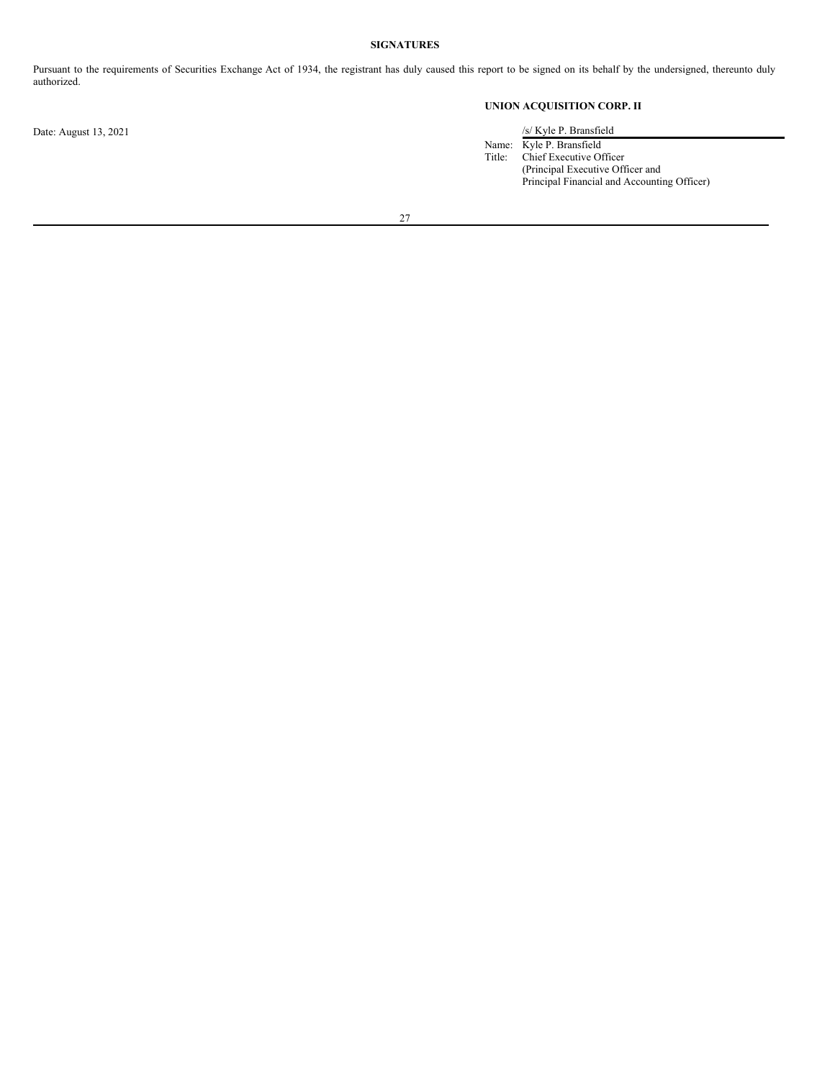## **SIGNATURES**

Pursuant to the requirements of Securities Exchange Act of 1934, the registrant has duly caused this report to be signed on its behalf by the undersigned, thereunto duly authorized.

**UNION ACQUISITION CORP. II**

Name: Kyle P. Bransfield Title: Chief Executive Officer (Principal Executive Officer and Principal Financial and Accounting Officer)

27

Date: August 13, 2021 /s/ Kyle P. Bransfield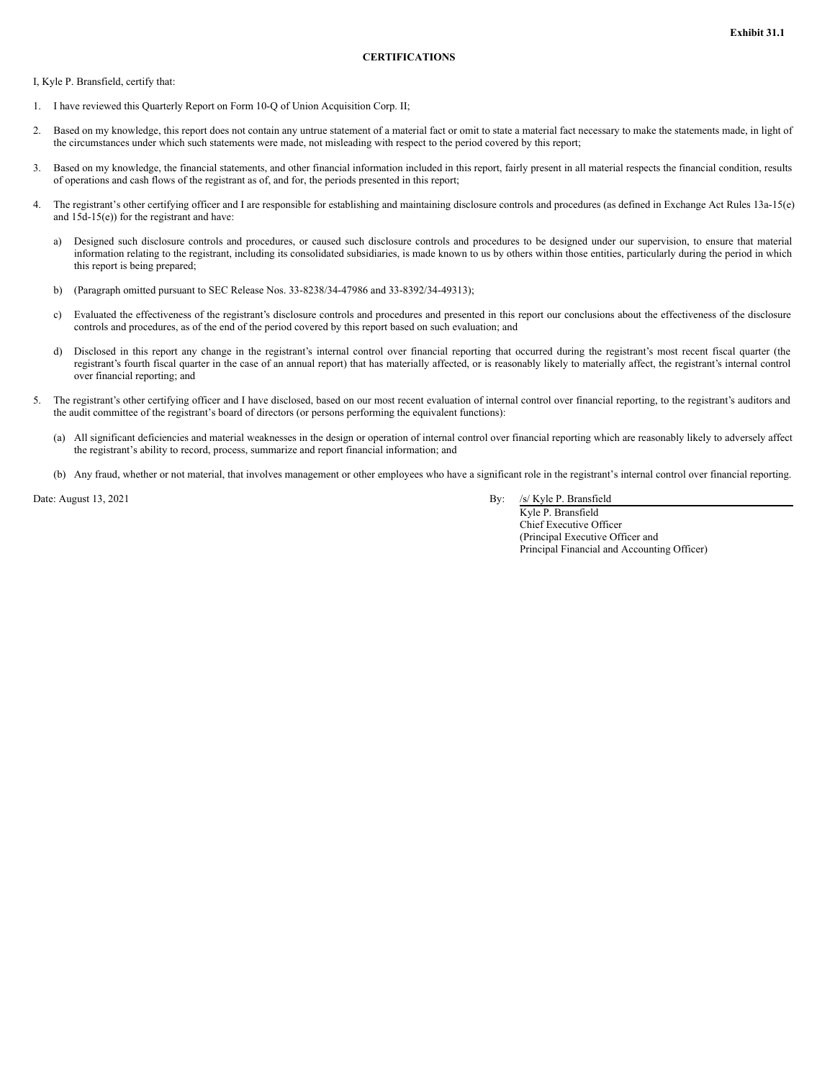<span id="page-17-0"></span>I, Kyle P. Bransfield, certify that:

- 1. I have reviewed this Quarterly Report on Form 10-Q of Union Acquisition Corp. II;
- 2. Based on my knowledge, this report does not contain any untrue statement of a material fact or omit to state a material fact necessary to make the statements made, in light of the circumstances under which such statements were made, not misleading with respect to the period covered by this report;
- 3. Based on my knowledge, the financial statements, and other financial information included in this report, fairly present in all material respects the financial condition, results of operations and cash flows of the registrant as of, and for, the periods presented in this report;
- 4. The registrant's other certifying officer and I are responsible for establishing and maintaining disclosure controls and procedures (as defined in Exchange Act Rules 13a-15(e) and 15d-15(e)) for the registrant and have:
	- a) Designed such disclosure controls and procedures, or caused such disclosure controls and procedures to be designed under our supervision, to ensure that material information relating to the registrant, including its consolidated subsidiaries, is made known to us by others within those entities, particularly during the period in which this report is being prepared;
	- b) (Paragraph omitted pursuant to SEC Release Nos. 33-8238/34-47986 and 33-8392/34-49313);
	- c) Evaluated the effectiveness of the registrant's disclosure controls and procedures and presented in this report our conclusions about the effectiveness of the disclosure controls and procedures, as of the end of the period covered by this report based on such evaluation; and
	- d) Disclosed in this report any change in the registrant's internal control over financial reporting that occurred during the registrant's most recent fiscal quarter (the registrant's fourth fiscal quarter in the case of an annual report) that has materially affected, or is reasonably likely to materially affect, the registrant's internal control over financial reporting; and
- 5. The registrant's other certifying officer and I have disclosed, based on our most recent evaluation of internal control over financial reporting, to the registrant's auditors and the audit committee of the registrant's board of directors (or persons performing the equivalent functions):
	- (a) All significant deficiencies and material weaknesses in the design or operation of internal control over financial reporting which are reasonably likely to adversely affect the registrant's ability to record, process, summarize and report financial information; and
	- (b) Any fraud, whether or not material, that involves management or other employees who have a significant role in the registrant's internal control over financial reporting.

Date: August 13, 2021 By: /s/ Kyle P. Bransfield

Kyle P. Bransfield Chief Executive Officer (Principal Executive Officer and Principal Financial and Accounting Officer)